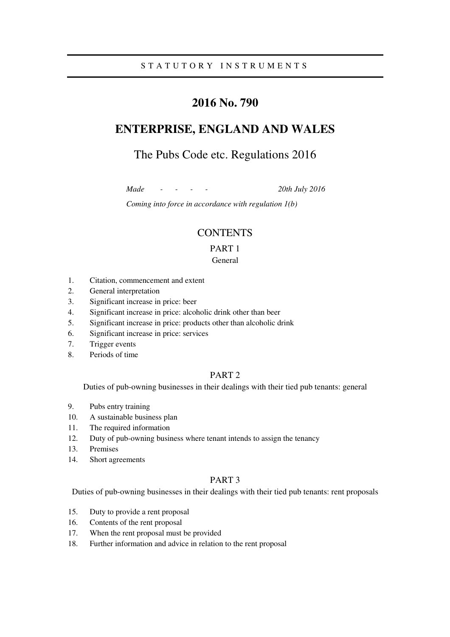# **2016 No. 790**

# **ENTERPRISE, ENGLAND AND WALES**

# The Pubs Code etc. Regulations 2016

*Made - - - - 20th July 2016* 

*Coming into force in accordance with regulation 1(b)* 

### **CONTENTS**

### PART 1

### General

- 1. Citation, commencement and extent
- 2. General interpretation
- 3. Significant increase in price: beer
- 4. Significant increase in price: alcoholic drink other than beer
- 5. Significant increase in price: products other than alcoholic drink
- 6. Significant increase in price: services
- 7. Trigger events
- 8. Periods of time

### PART 2

Duties of pub-owning businesses in their dealings with their tied pub tenants: general

- 9. Pubs entry training
- 10. A sustainable business plan
- 11. The required information
- 12. Duty of pub-owning business where tenant intends to assign the tenancy
- 13. Premises
- 14. Short agreements

### PART 3

Duties of pub-owning businesses in their dealings with their tied pub tenants: rent proposals

- 15. Duty to provide a rent proposal
- 16. Contents of the rent proposal
- 17. When the rent proposal must be provided
- 18. Further information and advice in relation to the rent proposal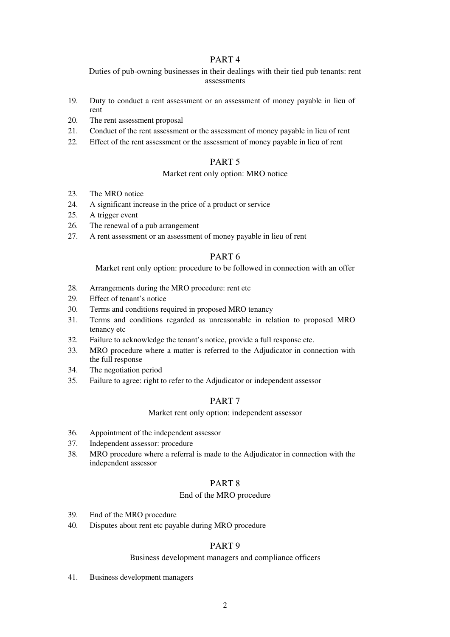### PART 4

Duties of pub-owning businesses in their dealings with their tied pub tenants: rent assessments

- 19. Duty to conduct a rent assessment or an assessment of money payable in lieu of rent
- 20. The rent assessment proposal
- 21. Conduct of the rent assessment or the assessment of money payable in lieu of rent
- 22. Effect of the rent assessment or the assessment of money payable in lieu of rent

### PART 5

### Market rent only option: MRO notice

- 23. The MRO notice
- 24. A significant increase in the price of a product or service
- 25. A trigger event
- 26. The renewal of a pub arrangement
- 27. A rent assessment or an assessment of money payable in lieu of rent

### PART 6

Market rent only option: procedure to be followed in connection with an offer

- 28. Arrangements during the MRO procedure: rent etc
- 29. Effect of tenant's notice
- 30. Terms and conditions required in proposed MRO tenancy
- 31. Terms and conditions regarded as unreasonable in relation to proposed MRO tenancy etc
- 32. Failure to acknowledge the tenant's notice, provide a full response etc.
- 33. MRO procedure where a matter is referred to the Adjudicator in connection with the full response
- 34. The negotiation period
- 35. Failure to agree: right to refer to the Adjudicator or independent assessor

### PART 7

### Market rent only option: independent assessor

- 36. Appointment of the independent assessor
- 37. Independent assessor: procedure
- 38. MRO procedure where a referral is made to the Adjudicator in connection with the independent assessor

## PART 8

### End of the MRO procedure

- 39. End of the MRO procedure
- 40. Disputes about rent etc payable during MRO procedure

### PART 9

### Business development managers and compliance officers

41. Business development managers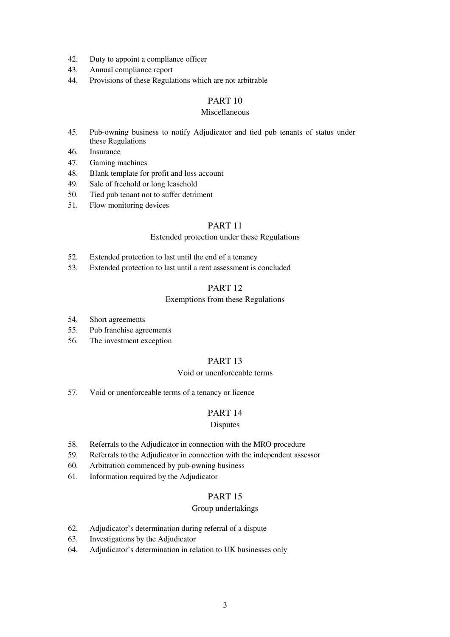- 42. Duty to appoint a compliance officer
- 43. Annual compliance report
- 44. Provisions of these Regulations which are not arbitrable

### PART 10

### Miscellaneous

- 45. Pub-owning business to notify Adjudicator and tied pub tenants of status under these Regulations
- 46. Insurance
- 47. Gaming machines
- 48. Blank template for profit and loss account
- 49. Sale of freehold or long leasehold
- 50. Tied pub tenant not to suffer detriment
- 51. Flow monitoring devices

### PART 11

### Extended protection under these Regulations

- 52. Extended protection to last until the end of a tenancy
- 53. Extended protection to last until a rent assessment is concluded

### PART 12

### Exemptions from these Regulations

- 54. Short agreements
- 55. Pub franchise agreements
- 56. The investment exception

# PART 13

### Void or unenforceable terms

57. Void or unenforceable terms of a tenancy or licence

### PART 14

### Disputes

- 58. Referrals to the Adjudicator in connection with the MRO procedure
- 59. Referrals to the Adjudicator in connection with the independent assessor
- 60. Arbitration commenced by pub-owning business
- 61. Information required by the Adjudicator

### PART 15

### Group undertakings

- 62. Adjudicator's determination during referral of a dispute
- 63. Investigations by the Adjudicator
- 64. Adjudicator's determination in relation to UK businesses only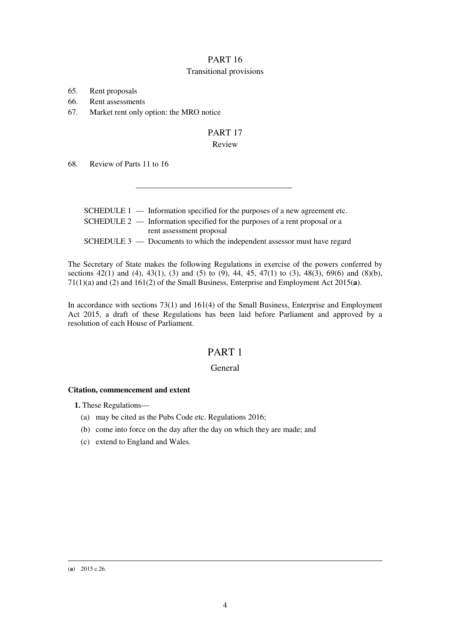## PART 16 Transitional provisions

65. Rent proposals

66. Rent assessments

67. Market rent only option: the MRO notice

# PART 17

### Review

68. Review of Parts 11 to 16

|  | SCHEDULE $1$ — Information specified for the purposes of a new agreement etc. |
|--|-------------------------------------------------------------------------------|
|  | SCHEDULE $2$ — Information specified for the purposes of a rent proposal or a |
|  | rent assessment proposal                                                      |
|  | SCHEDULE $3$ — Documents to which the independent assessor must have regard   |

The Secretary of State makes the following Regulations in exercise of the powers conferred by sections 42(1) and (4), 43(1), (3) and (5) to (9), 44, 45, 47(1) to (3), 48(3), 69(6) and (8)(b), 71(1)(a) and (2) and 161(2) of the Small Business, Enterprise and Employment Act 2015(**a**).

In accordance with sections 73(1) and 161(4) of the Small Business, Enterprise and Employment Act 2015, a draft of these Regulations has been laid before Parliament and approved by a resolution of each House of Parliament.

# PART 1

### General

### **Citation, commencement and extent**

**1.** These Regulations—

- (a) may be cited as the Pubs Code etc. Regulations 2016;
- (b) come into force on the day after the day on which they are made; and
- (c) extend to England and Wales.

<u>.</u> (**a**) 2015 c.26.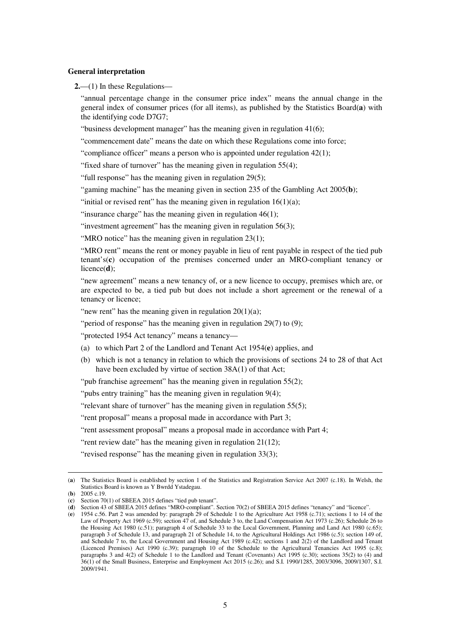#### **General interpretation**

**2.**—(1) In these Regulations—

"annual percentage change in the consumer price index" means the annual change in the general index of consumer prices (for all items), as published by the Statistics Board(**a**) with the identifying code D7G7;

"business development manager" has the meaning given in regulation 41(6);

"commencement date" means the date on which these Regulations come into force;

"compliance officer" means a person who is appointed under regulation 42(1);

"fixed share of turnover" has the meaning given in regulation 55(4);

"full response" has the meaning given in regulation 29(5);

"gaming machine" has the meaning given in section 235 of the Gambling Act 2005(**b**);

"initial or revised rent" has the meaning given in regulation  $16(1)(a)$ ;

"insurance charge" has the meaning given in regulation  $46(1)$ ;

"investment agreement" has the meaning given in regulation 56(3);

"MRO notice" has the meaning given in regulation 23(1);

"MRO rent" means the rent or money payable in lieu of rent payable in respect of the tied pub tenant's(**c**) occupation of the premises concerned under an MRO-compliant tenancy or licence(**d**);

"new agreement" means a new tenancy of, or a new licence to occupy, premises which are, or are expected to be, a tied pub but does not include a short agreement or the renewal of a tenancy or licence;

"new rent" has the meaning given in regulation 20(1)(a);

"period of response" has the meaning given in regulation 29(7) to (9);

"protected 1954 Act tenancy" means a tenancy—

- (a) to which Part 2 of the Landlord and Tenant Act 1954(**e**) applies, and
- (b) which is not a tenancy in relation to which the provisions of sections 24 to 28 of that Act have been excluded by virtue of section 38A(1) of that Act:

"pub franchise agreement" has the meaning given in regulation 55(2);

"pubs entry training" has the meaning given in regulation 9(4);

"relevant share of turnover" has the meaning given in regulation 55(5);

"rent proposal" means a proposal made in accordance with Part 3;

"rent assessment proposal" means a proposal made in accordance with Part 4;

"rent review date" has the meaning given in regulation 21(12);

"revised response" has the meaning given in regulation 33(3);

<u>.</u>

<sup>(</sup>**a**) The Statistics Board is established by section 1 of the Statistics and Registration Service Act 2007 (c.18). In Welsh, the Statistics Board is known as Y Bwrdd Ystadegau.

<sup>(</sup>**b**) 2005 c.19.

<sup>(</sup>**c**) Section 70(1) of SBEEA 2015 defines "tied pub tenant".

<sup>(</sup>**d**) Section 43 of SBEEA 2015 defines "MRO-compliant". Section 70(2) of SBEEA 2015 defines "tenancy" and "licence".

<sup>(</sup>**e**) 1954 c.56. Part 2 was amended by: paragraph 29 of Schedule 1 to the Agriculture Act 1958 (c.71); sections 1 to 14 of the Law of Property Act 1969 (c.59); section 47 of, and Schedule 3 to, the Land Compensation Act 1973 (c.26); Schedule 26 to the Housing Act 1980 (c.51); paragraph 4 of Schedule 33 to the Local Government, Planning and Land Act 1980 (c.65); paragraph 3 of Schedule 13, and paragraph 21 of Schedule 14, to the Agricultural Holdings Act 1986 (c.5); section 149 of, and Schedule 7 to, the Local Government and Housing Act 1989 (c.42); sections 1 and 2(2) of the Landlord and Tenant (Licenced Premises) Act 1990 (c.39); paragraph 10 of the Schedule to the Agricultural Tenancies Act 1995 (c.8); paragraphs 3 and 4(2) of Schedule 1 to the Landlord and Tenant (Covenants) Act 1995 (c.30); sections 35(2) to (4) and 36(1) of the Small Business, Enterprise and Employment Act 2015 (c.26); and S.I. 1990/1285, 2003/3096, 2009/1307, S.I. 2009/1941.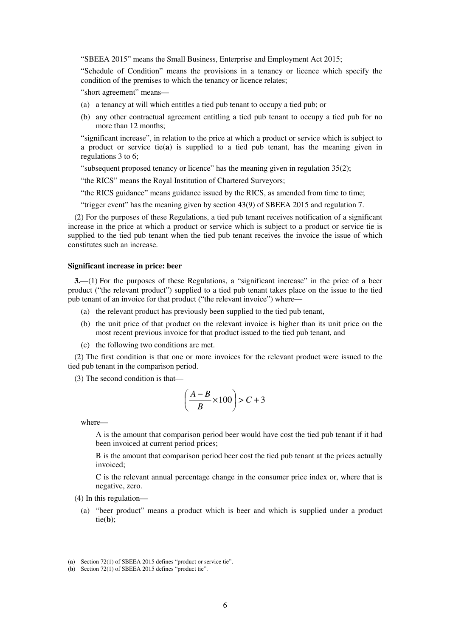"SBEEA 2015" means the Small Business, Enterprise and Employment Act 2015;

"Schedule of Condition" means the provisions in a tenancy or licence which specify the condition of the premises to which the tenancy or licence relates;

"short agreement" means—

- (a) a tenancy at will which entitles a tied pub tenant to occupy a tied pub; or
- (b) any other contractual agreement entitling a tied pub tenant to occupy a tied pub for no more than 12 months;

"significant increase", in relation to the price at which a product or service which is subject to a product or service tie(**a**) is supplied to a tied pub tenant, has the meaning given in regulations 3 to 6;

"subsequent proposed tenancy or licence" has the meaning given in regulation 35(2);

"the RICS" means the Royal Institution of Chartered Surveyors;

"the RICS guidance" means guidance issued by the RICS, as amended from time to time;

"trigger event" has the meaning given by section 43(9) of SBEEA 2015 and regulation 7.

(2) For the purposes of these Regulations, a tied pub tenant receives notification of a significant increase in the price at which a product or service which is subject to a product or service tie is supplied to the tied pub tenant when the tied pub tenant receives the invoice the issue of which constitutes such an increase.

#### **Significant increase in price: beer**

**3.**—(1) For the purposes of these Regulations, a "significant increase" in the price of a beer product ("the relevant product") supplied to a tied pub tenant takes place on the issue to the tied pub tenant of an invoice for that product ("the relevant invoice") where—

- (a) the relevant product has previously been supplied to the tied pub tenant,
- (b) the unit price of that product on the relevant invoice is higher than its unit price on the most recent previous invoice for that product issued to the tied pub tenant, and
- (c) the following two conditions are met.

(2) The first condition is that one or more invoices for the relevant product were issued to the tied pub tenant in the comparison period.

(3) The second condition is that—

$$
\left(\frac{A-B}{B} \times 100\right) > C + 3
$$

where—

<u>.</u>

A is the amount that comparison period beer would have cost the tied pub tenant if it had been invoiced at current period prices;

B is the amount that comparison period beer cost the tied pub tenant at the prices actually invoiced;

C is the relevant annual percentage change in the consumer price index or, where that is negative, zero.

- (4) In this regulation—
	- (a) "beer product" means a product which is beer and which is supplied under a product tie(**b**);

<sup>(</sup>**a**) Section 72(1) of SBEEA 2015 defines "product or service tie".

<sup>(</sup>**b**) Section 72(1) of SBEEA 2015 defines "product tie".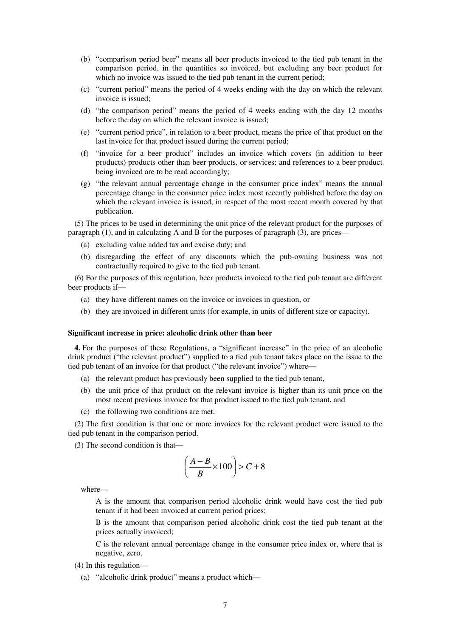- (b) "comparison period beer" means all beer products invoiced to the tied pub tenant in the comparison period, in the quantities so invoiced, but excluding any beer product for which no invoice was issued to the tied pub tenant in the current period;
- (c) "current period" means the period of 4 weeks ending with the day on which the relevant invoice is issued;
- (d) "the comparison period" means the period of 4 weeks ending with the day 12 months before the day on which the relevant invoice is issued;
- (e) "current period price", in relation to a beer product, means the price of that product on the last invoice for that product issued during the current period;
- (f) "invoice for a beer product" includes an invoice which covers (in addition to beer products) products other than beer products, or services; and references to a beer product being invoiced are to be read accordingly;
- (g) "the relevant annual percentage change in the consumer price index" means the annual percentage change in the consumer price index most recently published before the day on which the relevant invoice is issued, in respect of the most recent month covered by that publication.

(5) The prices to be used in determining the unit price of the relevant product for the purposes of paragraph  $(1)$ , and in calculating A and B for the purposes of paragraph  $(3)$ , are prices—

- (a) excluding value added tax and excise duty; and
- (b) disregarding the effect of any discounts which the pub-owning business was not contractually required to give to the tied pub tenant.

(6) For the purposes of this regulation, beer products invoiced to the tied pub tenant are different beer products if—

- (a) they have different names on the invoice or invoices in question, or
- (b) they are invoiced in different units (for example, in units of different size or capacity).

#### **Significant increase in price: alcoholic drink other than beer**

**4.** For the purposes of these Regulations, a "significant increase" in the price of an alcoholic drink product ("the relevant product") supplied to a tied pub tenant takes place on the issue to the tied pub tenant of an invoice for that product ("the relevant invoice") where—

- (a) the relevant product has previously been supplied to the tied pub tenant,
- (b) the unit price of that product on the relevant invoice is higher than its unit price on the most recent previous invoice for that product issued to the tied pub tenant, and
- (c) the following two conditions are met.

(2) The first condition is that one or more invoices for the relevant product were issued to the tied pub tenant in the comparison period.

(3) The second condition is that—

$$
\left(\frac{A-B}{B} \times 100\right) > C + 8
$$

where—

A is the amount that comparison period alcoholic drink would have cost the tied pub tenant if it had been invoiced at current period prices;

B is the amount that comparison period alcoholic drink cost the tied pub tenant at the prices actually invoiced;

C is the relevant annual percentage change in the consumer price index or, where that is negative, zero.

(4) In this regulation—

(a) "alcoholic drink product" means a product which—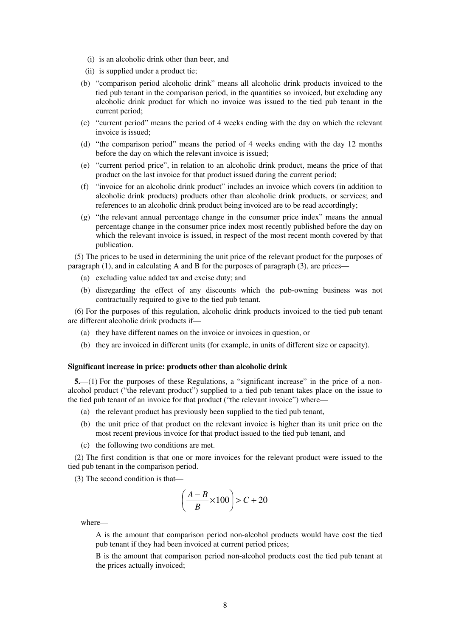- (i) is an alcoholic drink other than beer, and
- (ii) is supplied under a product tie;
- (b) "comparison period alcoholic drink" means all alcoholic drink products invoiced to the tied pub tenant in the comparison period, in the quantities so invoiced, but excluding any alcoholic drink product for which no invoice was issued to the tied pub tenant in the current period;
- (c) "current period" means the period of 4 weeks ending with the day on which the relevant invoice is issued;
- (d) "the comparison period" means the period of 4 weeks ending with the day 12 months before the day on which the relevant invoice is issued;
- (e) "current period price", in relation to an alcoholic drink product, means the price of that product on the last invoice for that product issued during the current period;
- (f) "invoice for an alcoholic drink product" includes an invoice which covers (in addition to alcoholic drink products) products other than alcoholic drink products, or services; and references to an alcoholic drink product being invoiced are to be read accordingly;
- (g) "the relevant annual percentage change in the consumer price index" means the annual percentage change in the consumer price index most recently published before the day on which the relevant invoice is issued, in respect of the most recent month covered by that publication.

(5) The prices to be used in determining the unit price of the relevant product for the purposes of paragraph (1), and in calculating A and B for the purposes of paragraph (3), are prices—

- (a) excluding value added tax and excise duty; and
- (b) disregarding the effect of any discounts which the pub-owning business was not contractually required to give to the tied pub tenant.

(6) For the purposes of this regulation, alcoholic drink products invoiced to the tied pub tenant are different alcoholic drink products if—

- (a) they have different names on the invoice or invoices in question, or
- (b) they are invoiced in different units (for example, in units of different size or capacity).

#### **Significant increase in price: products other than alcoholic drink**

**5.**—(1) For the purposes of these Regulations, a "significant increase" in the price of a nonalcohol product ("the relevant product") supplied to a tied pub tenant takes place on the issue to the tied pub tenant of an invoice for that product ("the relevant invoice") where—

- (a) the relevant product has previously been supplied to the tied pub tenant,
- (b) the unit price of that product on the relevant invoice is higher than its unit price on the most recent previous invoice for that product issued to the tied pub tenant, and
- (c) the following two conditions are met.

(2) The first condition is that one or more invoices for the relevant product were issued to the tied pub tenant in the comparison period.

(3) The second condition is that—

$$
\left(\frac{A-B}{B} \times 100\right) > C + 20
$$

where—

A is the amount that comparison period non-alcohol products would have cost the tied pub tenant if they had been invoiced at current period prices;

B is the amount that comparison period non-alcohol products cost the tied pub tenant at the prices actually invoiced;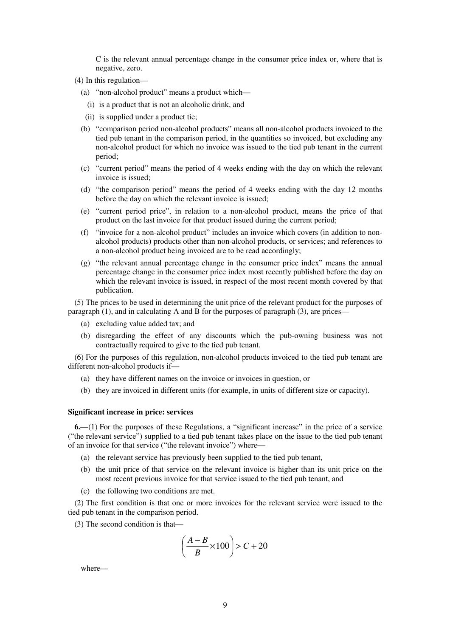C is the relevant annual percentage change in the consumer price index or, where that is negative, zero.

- (4) In this regulation—
	- (a) "non-alcohol product" means a product which—
	- (i) is a product that is not an alcoholic drink, and
	- (ii) is supplied under a product tie;
	- (b) "comparison period non-alcohol products" means all non-alcohol products invoiced to the tied pub tenant in the comparison period, in the quantities so invoiced, but excluding any non-alcohol product for which no invoice was issued to the tied pub tenant in the current period;
	- (c) "current period" means the period of 4 weeks ending with the day on which the relevant invoice is issued;
	- (d) "the comparison period" means the period of 4 weeks ending with the day 12 months before the day on which the relevant invoice is issued;
	- (e) "current period price", in relation to a non-alcohol product, means the price of that product on the last invoice for that product issued during the current period;
	- (f) "invoice for a non-alcohol product" includes an invoice which covers (in addition to nonalcohol products) products other than non-alcohol products, or services; and references to a non-alcohol product being invoiced are to be read accordingly;
	- (g) "the relevant annual percentage change in the consumer price index" means the annual percentage change in the consumer price index most recently published before the day on which the relevant invoice is issued, in respect of the most recent month covered by that publication.

(5) The prices to be used in determining the unit price of the relevant product for the purposes of paragraph (1), and in calculating A and B for the purposes of paragraph (3), are prices—

- (a) excluding value added tax; and
- (b) disregarding the effect of any discounts which the pub-owning business was not contractually required to give to the tied pub tenant.

(6) For the purposes of this regulation, non-alcohol products invoiced to the tied pub tenant are different non-alcohol products if—

- (a) they have different names on the invoice or invoices in question, or
- (b) they are invoiced in different units (for example, in units of different size or capacity).

#### **Significant increase in price: services**

**6.**—(1) For the purposes of these Regulations, a "significant increase" in the price of a service ("the relevant service") supplied to a tied pub tenant takes place on the issue to the tied pub tenant of an invoice for that service ("the relevant invoice") where—

- (a) the relevant service has previously been supplied to the tied pub tenant,
- (b) the unit price of that service on the relevant invoice is higher than its unit price on the most recent previous invoice for that service issued to the tied pub tenant, and
- (c) the following two conditions are met.

(2) The first condition is that one or more invoices for the relevant service were issued to the tied pub tenant in the comparison period.

(3) The second condition is that—

$$
\left(\frac{A-B}{B} \times 100\right) > C + 20
$$

where—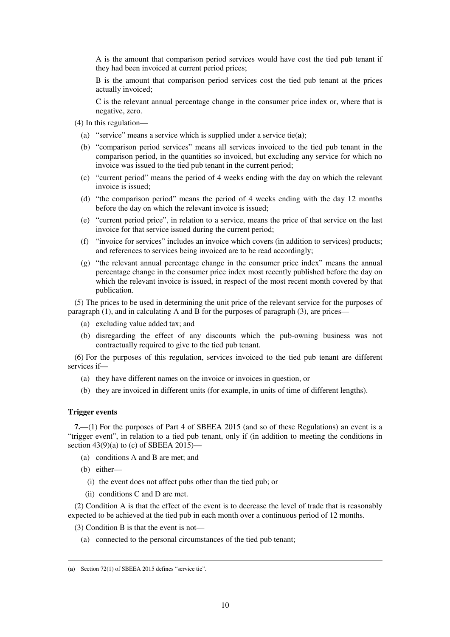A is the amount that comparison period services would have cost the tied pub tenant if they had been invoiced at current period prices;

B is the amount that comparison period services cost the tied pub tenant at the prices actually invoiced;

C is the relevant annual percentage change in the consumer price index or, where that is negative, zero.

- (4) In this regulation—
	- (a) "service" means a service which is supplied under a service tie(**a**);
	- (b) "comparison period services" means all services invoiced to the tied pub tenant in the comparison period, in the quantities so invoiced, but excluding any service for which no invoice was issued to the tied pub tenant in the current period;
	- (c) "current period" means the period of 4 weeks ending with the day on which the relevant invoice is issued;
	- (d) "the comparison period" means the period of 4 weeks ending with the day 12 months before the day on which the relevant invoice is issued;
	- (e) "current period price", in relation to a service, means the price of that service on the last invoice for that service issued during the current period;
	- (f) "invoice for services" includes an invoice which covers (in addition to services) products; and references to services being invoiced are to be read accordingly;
	- (g) "the relevant annual percentage change in the consumer price index" means the annual percentage change in the consumer price index most recently published before the day on which the relevant invoice is issued, in respect of the most recent month covered by that publication.

(5) The prices to be used in determining the unit price of the relevant service for the purposes of paragraph (1), and in calculating A and B for the purposes of paragraph (3), are prices—

- (a) excluding value added tax; and
- (b) disregarding the effect of any discounts which the pub-owning business was not contractually required to give to the tied pub tenant.

(6) For the purposes of this regulation, services invoiced to the tied pub tenant are different services if—

- (a) they have different names on the invoice or invoices in question, or
- (b) they are invoiced in different units (for example, in units of time of different lengths).

#### **Trigger events**

**7.**—(1) For the purposes of Part 4 of SBEEA 2015 (and so of these Regulations) an event is a "trigger event", in relation to a tied pub tenant, only if (in addition to meeting the conditions in section 43(9)(a) to (c) of SBEEA 2015)—

- (a) conditions A and B are met; and
- (b) either—

<u>.</u>

- (i) the event does not affect pubs other than the tied pub; or
- (ii) conditions C and D are met.

(2) Condition A is that the effect of the event is to decrease the level of trade that is reasonably expected to be achieved at the tied pub in each month over a continuous period of 12 months.

(3) Condition B is that the event is not—

(a) connected to the personal circumstances of the tied pub tenant;

<sup>(</sup>**a**) Section 72(1) of SBEEA 2015 defines "service tie".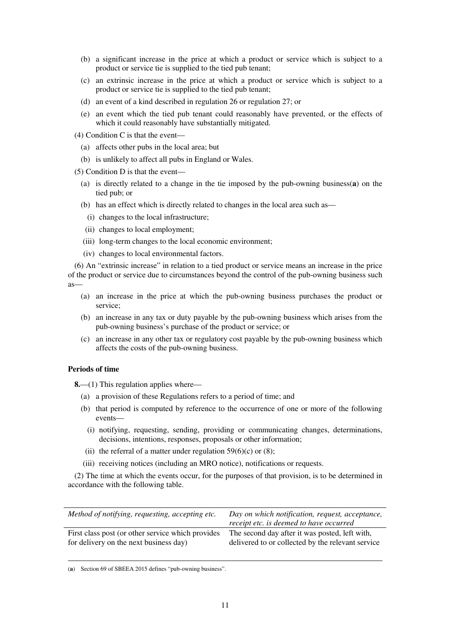- (b) a significant increase in the price at which a product or service which is subject to a product or service tie is supplied to the tied pub tenant;
- (c) an extrinsic increase in the price at which a product or service which is subject to a product or service tie is supplied to the tied pub tenant;
- (d) an event of a kind described in regulation 26 or regulation 27; or
- (e) an event which the tied pub tenant could reasonably have prevented, or the effects of which it could reasonably have substantially mitigated.

(4) Condition C is that the event—

- (a) affects other pubs in the local area; but
- (b) is unlikely to affect all pubs in England or Wales.
- (5) Condition D is that the event—
	- (a) is directly related to a change in the tie imposed by the pub-owning business(**a**) on the tied pub; or
	- (b) has an effect which is directly related to changes in the local area such as—
		- (i) changes to the local infrastructure;
	- (ii) changes to local employment;
	- (iii) long-term changes to the local economic environment;
	- (iv) changes to local environmental factors.

(6) An "extrinsic increase" in relation to a tied product or service means an increase in the price of the product or service due to circumstances beyond the control of the pub-owning business such as—

- (a) an increase in the price at which the pub-owning business purchases the product or service;
- (b) an increase in any tax or duty payable by the pub-owning business which arises from the pub-owning business's purchase of the product or service; or
- (c) an increase in any other tax or regulatory cost payable by the pub-owning business which affects the costs of the pub-owning business.

### **Periods of time**

**8.**—(1) This regulation applies where—

- (a) a provision of these Regulations refers to a period of time; and
- (b) that period is computed by reference to the occurrence of one or more of the following events—
	- (i) notifying, requesting, sending, providing or communicating changes, determinations, decisions, intentions, responses, proposals or other information;
- (ii) the referral of a matter under regulation  $59(6)(c)$  or (8);
- (iii) receiving notices (including an MRO notice), notifications or requests.

(2) The time at which the events occur, for the purposes of that provision, is to be determined in accordance with the following table.

| Method of notifying, requesting, accepting etc.   | Day on which notification, request, acceptance,<br>receipt etc. is deemed to have occurred |
|---------------------------------------------------|--------------------------------------------------------------------------------------------|
| First class post (or other service which provides | The second day after it was posted, left with,                                             |
| for delivery on the next business day)            | delivered to or collected by the relevant service                                          |

<u>.</u> (**a**) Section 69 of SBEEA 2015 defines "pub-owning business".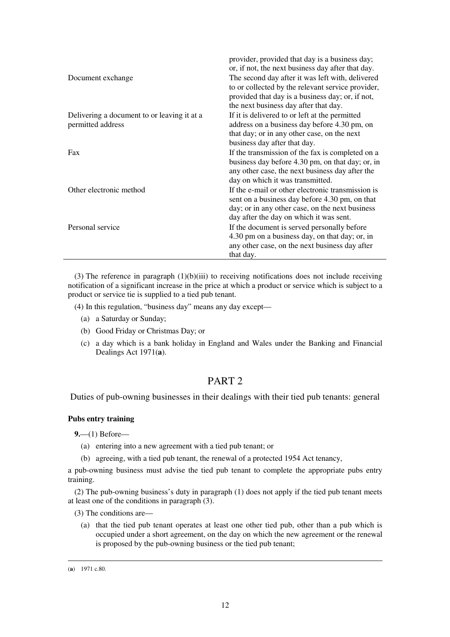| Document exchange                                                | provider, provided that day is a business day;<br>or, if not, the next business day after that day.<br>The second day after it was left with, delivered<br>to or collected by the relevant service provider,<br>provided that day is a business day; or, if not,<br>the next business day after that day. |
|------------------------------------------------------------------|-----------------------------------------------------------------------------------------------------------------------------------------------------------------------------------------------------------------------------------------------------------------------------------------------------------|
| Delivering a document to or leaving it at a<br>permitted address | If it is delivered to or left at the permitted<br>address on a business day before 4.30 pm, on<br>that day; or in any other case, on the next<br>business day after that day.                                                                                                                             |
| Fax                                                              | If the transmission of the fax is completed on a<br>business day before 4.30 pm, on that day; or, in<br>any other case, the next business day after the<br>day on which it was transmitted.                                                                                                               |
| Other electronic method                                          | If the e-mail or other electronic transmission is<br>sent on a business day before 4.30 pm, on that<br>day; or in any other case, on the next business<br>day after the day on which it was sent.                                                                                                         |
| Personal service                                                 | If the document is served personally before<br>4.30 pm on a business day, on that day; or, in<br>any other case, on the next business day after<br>that day.                                                                                                                                              |

(3) The reference in paragraph  $(1)(b)(iii)$  to receiving notifications does not include receiving notification of a significant increase in the price at which a product or service which is subject to a product or service tie is supplied to a tied pub tenant.

(4) In this regulation, "business day" means any day except—

- (a) a Saturday or Sunday;
- (b) Good Friday or Christmas Day; or
- (c) a day which is a bank holiday in England and Wales under the Banking and Financial Dealings Act 1971(**a**).

# PART 2

Duties of pub-owning businesses in their dealings with their tied pub tenants: general

### **Pubs entry training**

**9.**—(1) Before—

- (a) entering into a new agreement with a tied pub tenant; or
- (b) agreeing, with a tied pub tenant, the renewal of a protected 1954 Act tenancy,

a pub-owning business must advise the tied pub tenant to complete the appropriate pubs entry training.

(2) The pub-owning business's duty in paragraph (1) does not apply if the tied pub tenant meets at least one of the conditions in paragraph (3).

(3) The conditions are—

(a) that the tied pub tenant operates at least one other tied pub, other than a pub which is occupied under a short agreement, on the day on which the new agreement or the renewal is proposed by the pub-owning business or the tied pub tenant;

<u>.</u>

<sup>(</sup>**a**) 1971 c.80.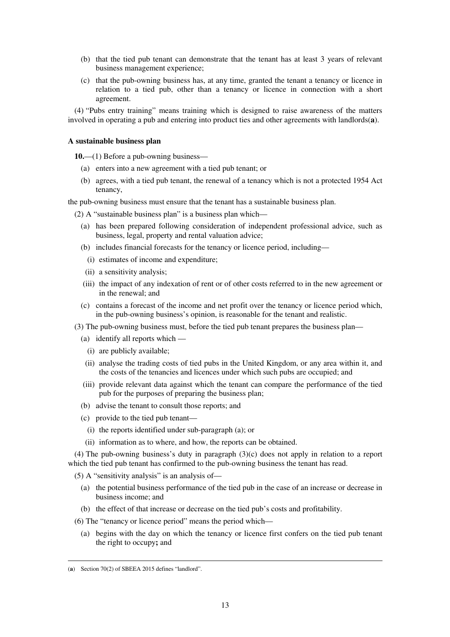- (b) that the tied pub tenant can demonstrate that the tenant has at least 3 years of relevant business management experience;
- (c) that the pub-owning business has, at any time, granted the tenant a tenancy or licence in relation to a tied pub, other than a tenancy or licence in connection with a short agreement.

(4) "Pubs entry training" means training which is designed to raise awareness of the matters involved in operating a pub and entering into product ties and other agreements with landlords(**a**).

### **A sustainable business plan**

**10.**—(1) Before a pub-owning business—

- (a) enters into a new agreement with a tied pub tenant; or
- (b) agrees, with a tied pub tenant, the renewal of a tenancy which is not a protected 1954 Act tenancy,

the pub-owning business must ensure that the tenant has a sustainable business plan.

(2) A "sustainable business plan" is a business plan which—

- (a) has been prepared following consideration of independent professional advice, such as business, legal, property and rental valuation advice;
- (b) includes financial forecasts for the tenancy or licence period, including—
	- (i) estimates of income and expenditure;
- (ii) a sensitivity analysis;
- (iii) the impact of any indexation of rent or of other costs referred to in the new agreement or in the renewal; and
- (c) contains a forecast of the income and net profit over the tenancy or licence period which, in the pub-owning business's opinion, is reasonable for the tenant and realistic.
- (3) The pub-owning business must, before the tied pub tenant prepares the business plan—
	- (a) identify all reports which
		- (i) are publicly available;
	- (ii) analyse the trading costs of tied pubs in the United Kingdom, or any area within it, and the costs of the tenancies and licences under which such pubs are occupied; and
	- (iii) provide relevant data against which the tenant can compare the performance of the tied pub for the purposes of preparing the business plan;
	- (b) advise the tenant to consult those reports; and
	- (c) provide to the tied pub tenant—
		- (i) the reports identified under sub-paragraph (a); or
	- (ii) information as to where, and how, the reports can be obtained.

(4) The pub-owning business's duty in paragraph (3)(c) does not apply in relation to a report which the tied pub tenant has confirmed to the pub-owning business the tenant has read.

(5) A "sensitivity analysis" is an analysis of—

- (a) the potential business performance of the tied pub in the case of an increase or decrease in business income; and
- (b) the effect of that increase or decrease on the tied pub's costs and profitability.
- (6) The "tenancy or licence period" means the period which—
	- (a) begins with the day on which the tenancy or licence first confers on the tied pub tenant the right to occupy**;** and

<sup>&</sup>lt;u>.</u> (**a**) Section 70(2) of SBEEA 2015 defines "landlord".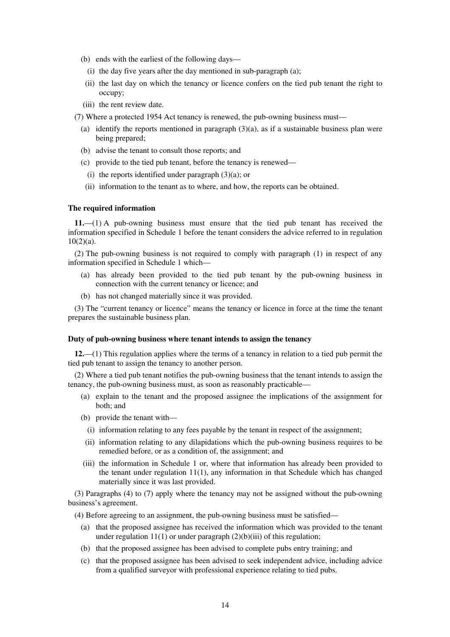- (b) ends with the earliest of the following days—
	- (i) the day five years after the day mentioned in sub-paragraph (a);
- (ii) the last day on which the tenancy or licence confers on the tied pub tenant the right to occupy;
- (iii) the rent review date.
- (7) Where a protected 1954 Act tenancy is renewed, the pub-owning business must—
	- (a) identify the reports mentioned in paragraph  $(3)(a)$ , as if a sustainable business plan were being prepared;
	- (b) advise the tenant to consult those reports; and
	- (c) provide to the tied pub tenant, before the tenancy is renewed—
	- (i) the reports identified under paragraph  $(3)(a)$ ; or
	- (ii) information to the tenant as to where, and how, the reports can be obtained.

#### **The required information**

**11.**—(1) A pub-owning business must ensure that the tied pub tenant has received the information specified in Schedule 1 before the tenant considers the advice referred to in regulation  $10(2)(a)$ .

(2) The pub-owning business is not required to comply with paragraph (1) in respect of any information specified in Schedule 1 which—

- (a) has already been provided to the tied pub tenant by the pub-owning business in connection with the current tenancy or licence; and
- (b) has not changed materially since it was provided.

(3) The "current tenancy or licence" means the tenancy or licence in force at the time the tenant prepares the sustainable business plan.

#### **Duty of pub-owning business where tenant intends to assign the tenancy**

**12.**—(1) This regulation applies where the terms of a tenancy in relation to a tied pub permit the tied pub tenant to assign the tenancy to another person.

(2) Where a tied pub tenant notifies the pub-owning business that the tenant intends to assign the tenancy, the pub-owning business must, as soon as reasonably practicable—

- (a) explain to the tenant and the proposed assignee the implications of the assignment for both; and
- (b) provide the tenant with—
	- (i) information relating to any fees payable by the tenant in respect of the assignment;
- (ii) information relating to any dilapidations which the pub-owning business requires to be remedied before, or as a condition of, the assignment; and
- (iii) the information in Schedule 1 or, where that information has already been provided to the tenant under regulation 11(1), any information in that Schedule which has changed materially since it was last provided.

(3) Paragraphs (4) to (7) apply where the tenancy may not be assigned without the pub-owning business's agreement.

(4) Before agreeing to an assignment, the pub-owning business must be satisfied—

- (a) that the proposed assignee has received the information which was provided to the tenant under regulation  $11(1)$  or under paragraph  $(2)(b)(iii)$  of this regulation;
- (b) that the proposed assignee has been advised to complete pubs entry training; and
- (c) that the proposed assignee has been advised to seek independent advice, including advice from a qualified surveyor with professional experience relating to tied pubs.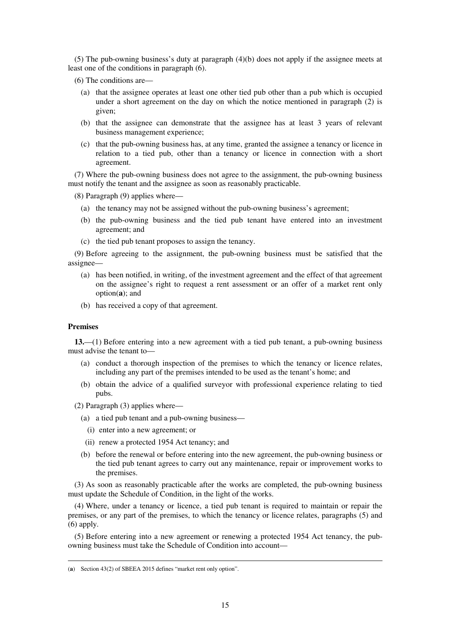(5) The pub-owning business's duty at paragraph (4)(b) does not apply if the assignee meets at least one of the conditions in paragraph (6).

- (6) The conditions are—
	- (a) that the assignee operates at least one other tied pub other than a pub which is occupied under a short agreement on the day on which the notice mentioned in paragraph (2) is given;
	- (b) that the assignee can demonstrate that the assignee has at least 3 years of relevant business management experience;
	- (c) that the pub-owning business has, at any time, granted the assignee a tenancy or licence in relation to a tied pub, other than a tenancy or licence in connection with a short agreement.

(7) Where the pub-owning business does not agree to the assignment, the pub-owning business must notify the tenant and the assignee as soon as reasonably practicable.

(8) Paragraph (9) applies where—

- (a) the tenancy may not be assigned without the pub-owning business's agreement;
- (b) the pub-owning business and the tied pub tenant have entered into an investment agreement; and
- (c) the tied pub tenant proposes to assign the tenancy.

(9) Before agreeing to the assignment, the pub-owning business must be satisfied that the assignee—

- (a) has been notified, in writing, of the investment agreement and the effect of that agreement on the assignee's right to request a rent assessment or an offer of a market rent only option(**a**); and
- (b) has received a copy of that agreement.

#### **Premises**

<u>.</u>

**13.**—(1) Before entering into a new agreement with a tied pub tenant, a pub-owning business must advise the tenant to—

- (a) conduct a thorough inspection of the premises to which the tenancy or licence relates, including any part of the premises intended to be used as the tenant's home; and
- (b) obtain the advice of a qualified surveyor with professional experience relating to tied pubs.
- (2) Paragraph (3) applies where—
	- (a) a tied pub tenant and a pub-owning business—
		- (i) enter into a new agreement; or
	- (ii) renew a protected 1954 Act tenancy; and
	- (b) before the renewal or before entering into the new agreement, the pub-owning business or the tied pub tenant agrees to carry out any maintenance, repair or improvement works to the premises.

(3) As soon as reasonably practicable after the works are completed, the pub-owning business must update the Schedule of Condition, in the light of the works.

(4) Where, under a tenancy or licence, a tied pub tenant is required to maintain or repair the premises, or any part of the premises, to which the tenancy or licence relates, paragraphs (5) and (6) apply.

(5) Before entering into a new agreement or renewing a protected 1954 Act tenancy, the pubowning business must take the Schedule of Condition into account—

<sup>(</sup>**a**) Section 43(2) of SBEEA 2015 defines "market rent only option".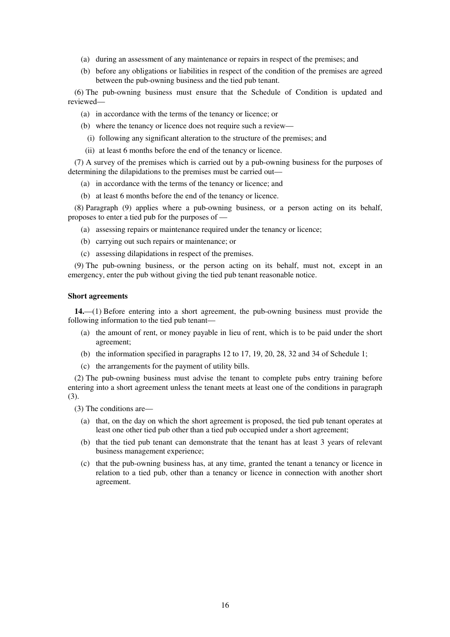- (a) during an assessment of any maintenance or repairs in respect of the premises; and
- (b) before any obligations or liabilities in respect of the condition of the premises are agreed between the pub-owning business and the tied pub tenant.

(6) The pub-owning business must ensure that the Schedule of Condition is updated and reviewed—

- (a) in accordance with the terms of the tenancy or licence; or
- (b) where the tenancy or licence does not require such a review—
- (i) following any significant alteration to the structure of the premises; and
- (ii) at least 6 months before the end of the tenancy or licence.

(7) A survey of the premises which is carried out by a pub-owning business for the purposes of determining the dilapidations to the premises must be carried out—

- (a) in accordance with the terms of the tenancy or licence; and
- (b) at least 6 months before the end of the tenancy or licence.

(8) Paragraph (9) applies where a pub-owning business, or a person acting on its behalf, proposes to enter a tied pub for the purposes of —

- (a) assessing repairs or maintenance required under the tenancy or licence;
- (b) carrying out such repairs or maintenance; or
- (c) assessing dilapidations in respect of the premises.

(9) The pub-owning business, or the person acting on its behalf, must not, except in an emergency, enter the pub without giving the tied pub tenant reasonable notice.

### **Short agreements**

**14.**—(1) Before entering into a short agreement, the pub-owning business must provide the following information to the tied pub tenant—

- (a) the amount of rent, or money payable in lieu of rent, which is to be paid under the short agreement;
- (b) the information specified in paragraphs 12 to 17, 19, 20, 28, 32 and 34 of Schedule 1;
- (c) the arrangements for the payment of utility bills.

(2) The pub-owning business must advise the tenant to complete pubs entry training before entering into a short agreement unless the tenant meets at least one of the conditions in paragraph (3).

(3) The conditions are—

- (a) that, on the day on which the short agreement is proposed, the tied pub tenant operates at least one other tied pub other than a tied pub occupied under a short agreement;
- (b) that the tied pub tenant can demonstrate that the tenant has at least 3 years of relevant business management experience;
- (c) that the pub-owning business has, at any time, granted the tenant a tenancy or licence in relation to a tied pub, other than a tenancy or licence in connection with another short agreement.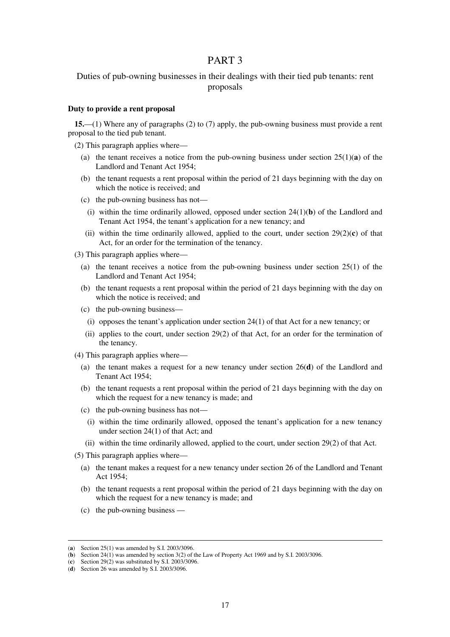### PART 3

### Duties of pub-owning businesses in their dealings with their tied pub tenants: rent proposals

#### **Duty to provide a rent proposal**

**15.**—(1) Where any of paragraphs (2) to (7) apply, the pub-owning business must provide a rent proposal to the tied pub tenant.

(2) This paragraph applies where—

- (a) the tenant receives a notice from the pub-owning business under section  $25(1)(\mathbf{a})$  of the Landlord and Tenant Act 1954;
- (b) the tenant requests a rent proposal within the period of 21 days beginning with the day on which the notice is received; and
- (c) the pub-owning business has not—
	- (i) within the time ordinarily allowed, opposed under section  $24(1)(b)$  of the Landlord and Tenant Act 1954, the tenant's application for a new tenancy; and
- (ii) within the time ordinarily allowed, applied to the court, under section  $29(2)(c)$  of that Act, for an order for the termination of the tenancy.

(3) This paragraph applies where—

- (a) the tenant receives a notice from the pub-owning business under section 25(1) of the Landlord and Tenant Act 1954;
- (b) the tenant requests a rent proposal within the period of 21 days beginning with the day on which the notice is received; and
- (c) the pub-owning business—
	- (i) opposes the tenant's application under section 24(1) of that Act for a new tenancy; or
- (ii) applies to the court, under section 29(2) of that Act, for an order for the termination of the tenancy.
- (4) This paragraph applies where—
	- (a) the tenant makes a request for a new tenancy under section 26(**d**) of the Landlord and Tenant Act 1954;
	- (b) the tenant requests a rent proposal within the period of 21 days beginning with the day on which the request for a new tenancy is made; and
	- (c) the pub-owning business has not—
		- (i) within the time ordinarily allowed, opposed the tenant's application for a new tenancy under section 24(1) of that Act; and
	- (ii) within the time ordinarily allowed, applied to the court, under section 29(2) of that Act.
- (5) This paragraph applies where—
	- (a) the tenant makes a request for a new tenancy under section 26 of the Landlord and Tenant Act 1954;
	- (b) the tenant requests a rent proposal within the period of 21 days beginning with the day on which the request for a new tenancy is made; and
	- (c) the pub-owning business —

<u>.</u>

<sup>(</sup>**a**) Section 25(1) was amended by S.I. 2003/3096.

 $\overrightarrow{(b)}$  Section 24(1) was amended by section 3(2) of the Law of Property Act 1969 and by S.I. 2003/3096.

<sup>(</sup>**c**) Section 29(2) was substituted by S.I. 2003/3096.

<sup>(</sup>**d**) Section 26 was amended by S.I. 2003/3096.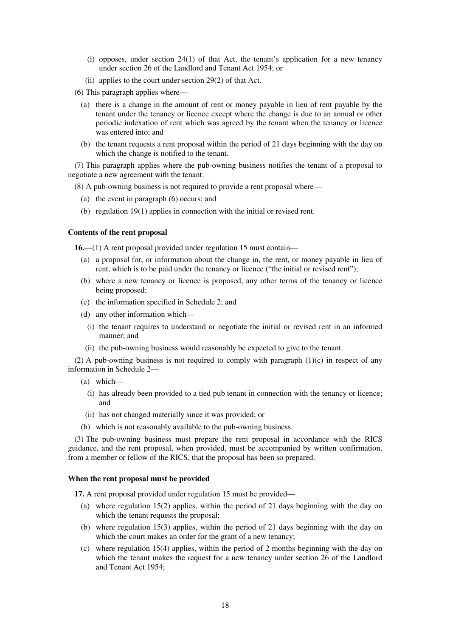- (i) opposes, under section 24(1) of that Act, the tenant's application for a new tenancy under section 26 of the Landlord and Tenant Act 1954; or
- (ii) applies to the court under section 29(2) of that Act.

(6) This paragraph applies where—

- (a) there is a change in the amount of rent or money payable in lieu of rent payable by the tenant under the tenancy or licence except where the change is due to an annual or other periodic indexation of rent which was agreed by the tenant when the tenancy or licence was entered into; and
- (b) the tenant requests a rent proposal within the period of 21 days beginning with the day on which the change is notified to the tenant.

(7) This paragraph applies where the pub-owning business notifies the tenant of a proposal to negotiate a new agreement with the tenant.

(8) A pub-owning business is not required to provide a rent proposal where—

- (a) the event in paragraph (6) occurs; and
- (b) regulation 19(1) applies in connection with the initial or revised rent.

### **Contents of the rent proposal**

**16.**—(1) A rent proposal provided under regulation 15 must contain—

- (a) a proposal for, or information about the change in, the rent, or money payable in lieu of rent, which is to be paid under the tenancy or licence ("the initial or revised rent");
- (b) where a new tenancy or licence is proposed, any other terms of the tenancy or licence being proposed;
- (c) the information specified in Schedule 2; and
- (d) any other information which—
	- (i) the tenant requires to understand or negotiate the initial or revised rent in an informed manner; and
- (ii) the pub-owning business would reasonably be expected to give to the tenant.

(2) A pub-owning business is not required to comply with paragraph (1)(c) in respect of any information in Schedule 2—

(a) which—

- (i) has already been provided to a tied pub tenant in connection with the tenancy or licence; and
- (ii) has not changed materially since it was provided; or
- (b) which is not reasonably available to the pub-owning business.

(3) The pub-owning business must prepare the rent proposal in accordance with the RICS guidance, and the rent proposal, when provided, must be accompanied by written confirmation, from a member or fellow of the RICS, that the proposal has been so prepared.

#### **When the rent proposal must be provided**

**17.** A rent proposal provided under regulation 15 must be provided—

- (a) where regulation 15(2) applies, within the period of 21 days beginning with the day on which the tenant requests the proposal;
- (b) where regulation 15(3) applies, within the period of 21 days beginning with the day on which the court makes an order for the grant of a new tenancy;
- (c) where regulation 15(4) applies, within the period of 2 months beginning with the day on which the tenant makes the request for a new tenancy under section 26 of the Landlord and Tenant Act 1954;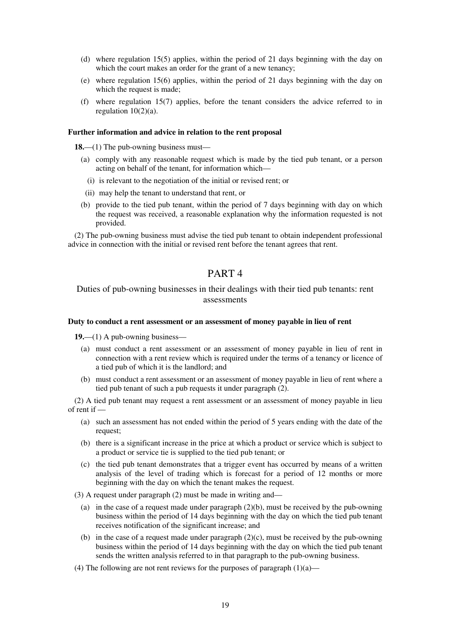- (d) where regulation 15(5) applies, within the period of 21 days beginning with the day on which the court makes an order for the grant of a new tenancy;
- (e) where regulation 15(6) applies, within the period of 21 days beginning with the day on which the request is made:
- (f) where regulation 15(7) applies, before the tenant considers the advice referred to in regulation  $10(2)(a)$ .

### **Further information and advice in relation to the rent proposal**

**18.**—(1) The pub-owning business must—

- (a) comply with any reasonable request which is made by the tied pub tenant, or a person acting on behalf of the tenant, for information which—
	- (i) is relevant to the negotiation of the initial or revised rent; or
- (ii) may help the tenant to understand that rent, or
- (b) provide to the tied pub tenant, within the period of 7 days beginning with day on which the request was received, a reasonable explanation why the information requested is not provided.

(2) The pub-owning business must advise the tied pub tenant to obtain independent professional advice in connection with the initial or revised rent before the tenant agrees that rent.

# PART 4

### Duties of pub-owning businesses in their dealings with their tied pub tenants: rent assessments

#### **Duty to conduct a rent assessment or an assessment of money payable in lieu of rent**

**19.**—(1) A pub-owning business—

- (a) must conduct a rent assessment or an assessment of money payable in lieu of rent in connection with a rent review which is required under the terms of a tenancy or licence of a tied pub of which it is the landlord; and
- (b) must conduct a rent assessment or an assessment of money payable in lieu of rent where a tied pub tenant of such a pub requests it under paragraph (2).

(2) A tied pub tenant may request a rent assessment or an assessment of money payable in lieu of rent if —

- (a) such an assessment has not ended within the period of 5 years ending with the date of the request;
- (b) there is a significant increase in the price at which a product or service which is subject to a product or service tie is supplied to the tied pub tenant; or
- (c) the tied pub tenant demonstrates that a trigger event has occurred by means of a written analysis of the level of trading which is forecast for a period of 12 months or more beginning with the day on which the tenant makes the request.
- (3) A request under paragraph (2) must be made in writing and—
	- (a) in the case of a request made under paragraph (2)(b), must be received by the pub-owning business within the period of 14 days beginning with the day on which the tied pub tenant receives notification of the significant increase; and
	- (b) in the case of a request made under paragraph  $(2)(c)$ , must be received by the pub-owning business within the period of 14 days beginning with the day on which the tied pub tenant sends the written analysis referred to in that paragraph to the pub-owning business.
- (4) The following are not rent reviews for the purposes of paragraph  $(1)(a)$ —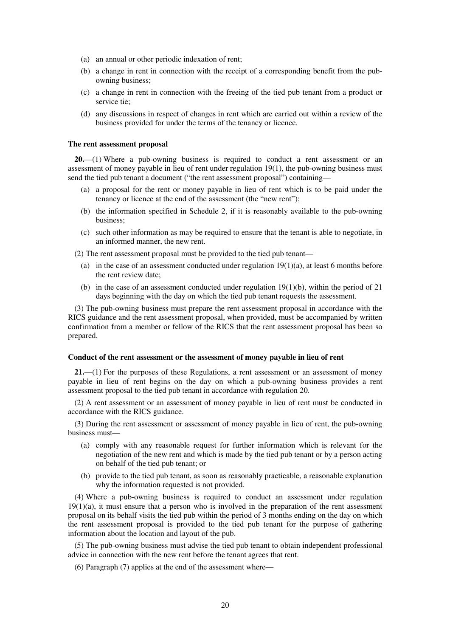- (a) an annual or other periodic indexation of rent;
- (b) a change in rent in connection with the receipt of a corresponding benefit from the pubowning business;
- (c) a change in rent in connection with the freeing of the tied pub tenant from a product or service tie;
- (d) any discussions in respect of changes in rent which are carried out within a review of the business provided for under the terms of the tenancy or licence.

#### **The rent assessment proposal**

**20.**—(1) Where a pub-owning business is required to conduct a rent assessment or an assessment of money payable in lieu of rent under regulation 19(1), the pub-owning business must send the tied pub tenant a document ("the rent assessment proposal") containing—

- (a) a proposal for the rent or money payable in lieu of rent which is to be paid under the tenancy or licence at the end of the assessment (the "new rent");
- (b) the information specified in Schedule 2, if it is reasonably available to the pub-owning business;
- (c) such other information as may be required to ensure that the tenant is able to negotiate, in an informed manner, the new rent.

(2) The rent assessment proposal must be provided to the tied pub tenant—

- (a) in the case of an assessment conducted under regulation  $19(1)(a)$ , at least 6 months before the rent review date;
- (b) in the case of an assessment conducted under regulation 19(1)(b), within the period of 21 days beginning with the day on which the tied pub tenant requests the assessment.

(3) The pub-owning business must prepare the rent assessment proposal in accordance with the RICS guidance and the rent assessment proposal, when provided, must be accompanied by written confirmation from a member or fellow of the RICS that the rent assessment proposal has been so prepared.

### **Conduct of the rent assessment or the assessment of money payable in lieu of rent**

**21.**—(1) For the purposes of these Regulations, a rent assessment or an assessment of money payable in lieu of rent begins on the day on which a pub-owning business provides a rent assessment proposal to the tied pub tenant in accordance with regulation 20.

(2) A rent assessment or an assessment of money payable in lieu of rent must be conducted in accordance with the RICS guidance.

(3) During the rent assessment or assessment of money payable in lieu of rent, the pub-owning business must—

- (a) comply with any reasonable request for further information which is relevant for the negotiation of the new rent and which is made by the tied pub tenant or by a person acting on behalf of the tied pub tenant; or
- (b) provide to the tied pub tenant, as soon as reasonably practicable, a reasonable explanation why the information requested is not provided.

(4) Where a pub-owning business is required to conduct an assessment under regulation  $19(1)(a)$ , it must ensure that a person who is involved in the preparation of the rent assessment proposal on its behalf visits the tied pub within the period of 3 months ending on the day on which the rent assessment proposal is provided to the tied pub tenant for the purpose of gathering information about the location and layout of the pub.

(5) The pub-owning business must advise the tied pub tenant to obtain independent professional advice in connection with the new rent before the tenant agrees that rent.

(6) Paragraph (7) applies at the end of the assessment where—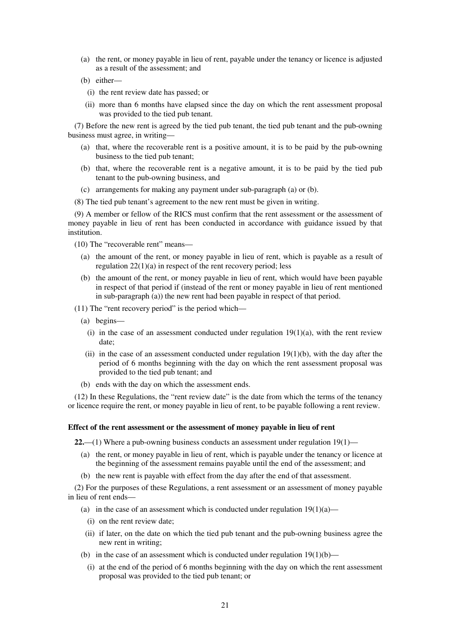- (a) the rent, or money payable in lieu of rent, payable under the tenancy or licence is adjusted as a result of the assessment; and
- (b) either—
	- (i) the rent review date has passed; or
	- (ii) more than 6 months have elapsed since the day on which the rent assessment proposal was provided to the tied pub tenant.

(7) Before the new rent is agreed by the tied pub tenant, the tied pub tenant and the pub-owning business must agree, in writing—

- (a) that, where the recoverable rent is a positive amount, it is to be paid by the pub-owning business to the tied pub tenant;
- (b) that, where the recoverable rent is a negative amount, it is to be paid by the tied pub tenant to the pub-owning business, and
- (c) arrangements for making any payment under sub-paragraph (a) or (b).
- (8) The tied pub tenant's agreement to the new rent must be given in writing.

(9) A member or fellow of the RICS must confirm that the rent assessment or the assessment of money payable in lieu of rent has been conducted in accordance with guidance issued by that **institution** 

(10) The "recoverable rent" means—

- (a) the amount of the rent, or money payable in lieu of rent, which is payable as a result of regulation 22(1)(a) in respect of the rent recovery period; less
- (b) the amount of the rent, or money payable in lieu of rent, which would have been payable in respect of that period if (instead of the rent or money payable in lieu of rent mentioned in sub-paragraph (a)) the new rent had been payable in respect of that period.
- (11) The "rent recovery period" is the period which—
	- (a) begins—
		- (i) in the case of an assessment conducted under regulation  $19(1)(a)$ , with the rent review date;
	- (ii) in the case of an assessment conducted under regulation  $19(1)(b)$ , with the day after the period of 6 months beginning with the day on which the rent assessment proposal was provided to the tied pub tenant; and
	- (b) ends with the day on which the assessment ends.

(12) In these Regulations, the "rent review date" is the date from which the terms of the tenancy or licence require the rent, or money payable in lieu of rent, to be payable following a rent review.

#### **Effect of the rent assessment or the assessment of money payable in lieu of rent**

**22.**—(1) Where a pub-owning business conducts an assessment under regulation 19(1)—

- (a) the rent, or money payable in lieu of rent, which is payable under the tenancy or licence at the beginning of the assessment remains payable until the end of the assessment; and
- (b) the new rent is payable with effect from the day after the end of that assessment.

(2) For the purposes of these Regulations, a rent assessment or an assessment of money payable in lieu of rent ends—

- (a) in the case of an assessment which is conducted under regulation  $19(1)(a)$ 
	- (i) on the rent review date;
- (ii) if later, on the date on which the tied pub tenant and the pub-owning business agree the new rent in writing;
- (b) in the case of an assessment which is conducted under regulation  $19(1)(b)$ —
- (i) at the end of the period of 6 months beginning with the day on which the rent assessment proposal was provided to the tied pub tenant; or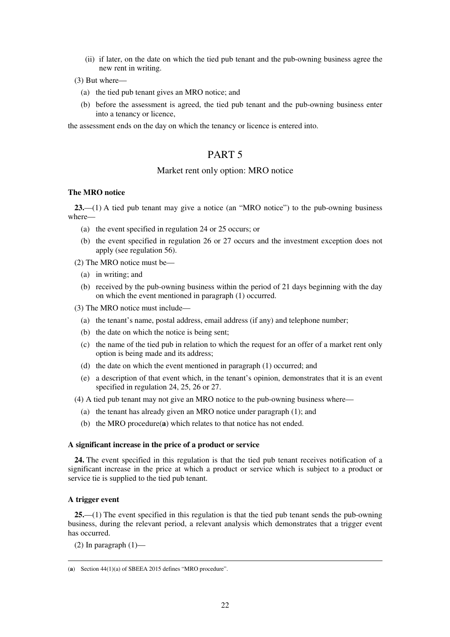(ii) if later, on the date on which the tied pub tenant and the pub-owning business agree the new rent in writing.

(3) But where—

- (a) the tied pub tenant gives an MRO notice; and
- (b) before the assessment is agreed, the tied pub tenant and the pub-owning business enter into a tenancy or licence,

the assessment ends on the day on which the tenancy or licence is entered into.

# PART 5

### Market rent only option: MRO notice

### **The MRO notice**

**23.**—(1) A tied pub tenant may give a notice (an "MRO notice") to the pub-owning business where—

- (a) the event specified in regulation 24 or 25 occurs; or
- (b) the event specified in regulation 26 or 27 occurs and the investment exception does not apply (see regulation 56).

(2) The MRO notice must be—

- (a) in writing; and
- (b) received by the pub-owning business within the period of 21 days beginning with the day on which the event mentioned in paragraph (1) occurred.
- (3) The MRO notice must include—
	- (a) the tenant's name, postal address, email address (if any) and telephone number;
	- (b) the date on which the notice is being sent;
	- (c) the name of the tied pub in relation to which the request for an offer of a market rent only option is being made and its address;
	- (d) the date on which the event mentioned in paragraph (1) occurred; and
	- (e) a description of that event which, in the tenant's opinion, demonstrates that it is an event specified in regulation 24, 25, 26 or 27.

(4) A tied pub tenant may not give an MRO notice to the pub-owning business where—

- (a) the tenant has already given an MRO notice under paragraph (1); and
- (b) the MRO procedure(**a**) which relates to that notice has not ended.

### **A significant increase in the price of a product or service**

**24.** The event specified in this regulation is that the tied pub tenant receives notification of a significant increase in the price at which a product or service which is subject to a product or service tie is supplied to the tied pub tenant.

### **A trigger event**

**25.**—(1) The event specified in this regulation is that the tied pub tenant sends the pub-owning business, during the relevant period, a relevant analysis which demonstrates that a trigger event has occurred.

 $(2)$  In paragraph  $(1)$ —

<sup>&</sup>lt;u>.</u> (**a**) Section 44(1)(a) of SBEEA 2015 defines "MRO procedure".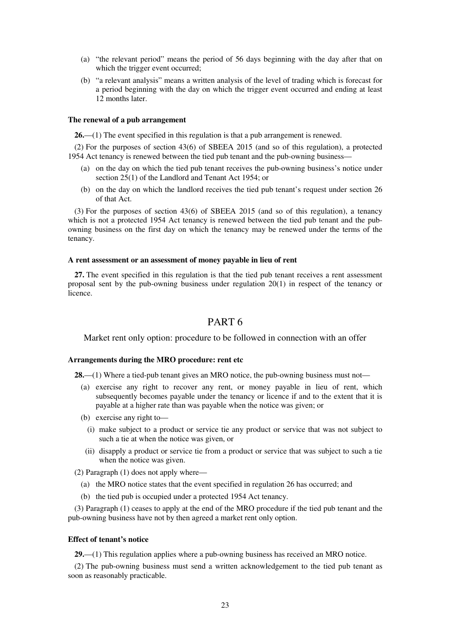- (a) "the relevant period" means the period of 56 days beginning with the day after that on which the trigger event occurred;
- (b) "a relevant analysis" means a written analysis of the level of trading which is forecast for a period beginning with the day on which the trigger event occurred and ending at least 12 months later.

### **The renewal of a pub arrangement**

**26.**—(1) The event specified in this regulation is that a pub arrangement is renewed.

(2) For the purposes of section 43(6) of SBEEA 2015 (and so of this regulation), a protected 1954 Act tenancy is renewed between the tied pub tenant and the pub-owning business—

- (a) on the day on which the tied pub tenant receives the pub-owning business's notice under section 25(1) of the Landlord and Tenant Act 1954; or
- (b) on the day on which the landlord receives the tied pub tenant's request under section 26 of that Act.

(3) For the purposes of section 43(6) of SBEEA 2015 (and so of this regulation), a tenancy which is not a protected 1954 Act tenancy is renewed between the tied pub tenant and the pubowning business on the first day on which the tenancy may be renewed under the terms of the tenancy.

### **A rent assessment or an assessment of money payable in lieu of rent**

**27.** The event specified in this regulation is that the tied pub tenant receives a rent assessment proposal sent by the pub-owning business under regulation 20(1) in respect of the tenancy or licence.

## PART 6

Market rent only option: procedure to be followed in connection with an offer

#### **Arrangements during the MRO procedure: rent etc**

**28.**—(1) Where a tied-pub tenant gives an MRO notice, the pub-owning business must not—

- (a) exercise any right to recover any rent, or money payable in lieu of rent, which subsequently becomes payable under the tenancy or licence if and to the extent that it is payable at a higher rate than was payable when the notice was given; or
- (b) exercise any right to—
	- (i) make subject to a product or service tie any product or service that was not subject to such a tie at when the notice was given, or
- (ii) disapply a product or service tie from a product or service that was subject to such a tie when the notice was given.
- (2) Paragraph (1) does not apply where—
	- (a) the MRO notice states that the event specified in regulation 26 has occurred; and
	- (b) the tied pub is occupied under a protected 1954 Act tenancy.

(3) Paragraph (1) ceases to apply at the end of the MRO procedure if the tied pub tenant and the pub-owning business have not by then agreed a market rent only option.

#### **Effect of tenant's notice**

**29.**—(1) This regulation applies where a pub-owning business has received an MRO notice.

(2) The pub-owning business must send a written acknowledgement to the tied pub tenant as soon as reasonably practicable.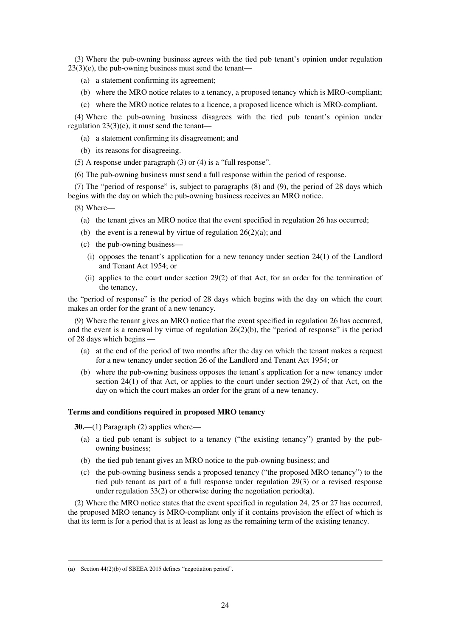(3) Where the pub-owning business agrees with the tied pub tenant's opinion under regulation  $23(3)(e)$ , the pub-owning business must send the tenant—

- (a) a statement confirming its agreement;
- (b) where the MRO notice relates to a tenancy, a proposed tenancy which is MRO-compliant;
- (c) where the MRO notice relates to a licence, a proposed licence which is MRO-compliant.

(4) Where the pub-owning business disagrees with the tied pub tenant's opinion under regulation 23(3)(e), it must send the tenant—

- (a) a statement confirming its disagreement; and
- (b) its reasons for disagreeing.
- (5) A response under paragraph (3) or (4) is a "full response".
- (6) The pub-owning business must send a full response within the period of response.

(7) The "period of response" is, subject to paragraphs (8) and (9), the period of 28 days which begins with the day on which the pub-owning business receives an MRO notice.

(8) Where—

- (a) the tenant gives an MRO notice that the event specified in regulation 26 has occurred;
- (b) the event is a renewal by virtue of regulation  $26(2)(a)$ ; and
- (c) the pub-owning business—
	- (i) opposes the tenant's application for a new tenancy under section 24(1) of the Landlord and Tenant Act 1954; or
- (ii) applies to the court under section 29(2) of that Act, for an order for the termination of the tenancy,

the "period of response" is the period of 28 days which begins with the day on which the court makes an order for the grant of a new tenancy.

(9) Where the tenant gives an MRO notice that the event specified in regulation 26 has occurred, and the event is a renewal by virtue of regulation  $26(2)(b)$ , the "period of response" is the period of 28 days which begins —

- (a) at the end of the period of two months after the day on which the tenant makes a request for a new tenancy under section 26 of the Landlord and Tenant Act 1954; or
- (b) where the pub-owning business opposes the tenant's application for a new tenancy under section  $24(1)$  of that Act, or applies to the court under section  $29(2)$  of that Act, on the day on which the court makes an order for the grant of a new tenancy.

#### **Terms and conditions required in proposed MRO tenancy**

**30.**—(1) Paragraph (2) applies where—

- (a) a tied pub tenant is subject to a tenancy ("the existing tenancy") granted by the pubowning business;
- (b) the tied pub tenant gives an MRO notice to the pub-owning business; and
- (c) the pub-owning business sends a proposed tenancy ("the proposed MRO tenancy") to the tied pub tenant as part of a full response under regulation 29(3) or a revised response under regulation 33(2) or otherwise during the negotiation period(**a**).

(2) Where the MRO notice states that the event specified in regulation 24, 25 or 27 has occurred, the proposed MRO tenancy is MRO-compliant only if it contains provision the effect of which is that its term is for a period that is at least as long as the remaining term of the existing tenancy.

<u>.</u>

<sup>(</sup>**a**) Section 44(2)(b) of SBEEA 2015 defines "negotiation period".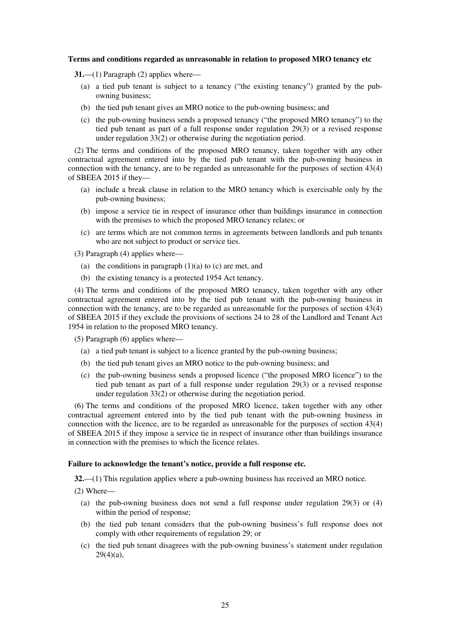#### **Terms and conditions regarded as unreasonable in relation to proposed MRO tenancy etc**

**31.**—(1) Paragraph (2) applies where—

- (a) a tied pub tenant is subject to a tenancy ("the existing tenancy") granted by the pubowning business;
- (b) the tied pub tenant gives an MRO notice to the pub-owning business; and
- (c) the pub-owning business sends a proposed tenancy ("the proposed MRO tenancy") to the tied pub tenant as part of a full response under regulation 29(3) or a revised response under regulation  $33(2)$  or otherwise during the negotiation period.

(2) The terms and conditions of the proposed MRO tenancy, taken together with any other contractual agreement entered into by the tied pub tenant with the pub-owning business in connection with the tenancy, are to be regarded as unreasonable for the purposes of section 43(4) of SBEEA 2015 if they—

- (a) include a break clause in relation to the MRO tenancy which is exercisable only by the pub-owning business;
- (b) impose a service tie in respect of insurance other than buildings insurance in connection with the premises to which the proposed MRO tenancy relates; or
- (c) are terms which are not common terms in agreements between landlords and pub tenants who are not subject to product or service ties.

(3) Paragraph (4) applies where—

- (a) the conditions in paragraph  $(1)(a)$  to  $(c)$  are met, and
- (b) the existing tenancy is a protected 1954 Act tenancy.

(4) The terms and conditions of the proposed MRO tenancy, taken together with any other contractual agreement entered into by the tied pub tenant with the pub-owning business in connection with the tenancy, are to be regarded as unreasonable for the purposes of section 43(4) of SBEEA 2015 if they exclude the provisions of sections 24 to 28 of the Landlord and Tenant Act 1954 in relation to the proposed MRO tenancy.

(5) Paragraph (6) applies where—

- (a) a tied pub tenant is subject to a licence granted by the pub-owning business;
- (b) the tied pub tenant gives an MRO notice to the pub-owning business; and
- (c) the pub-owning business sends a proposed licence ("the proposed MRO licence") to the tied pub tenant as part of a full response under regulation 29(3) or a revised response under regulation 33(2) or otherwise during the negotiation period.

(6) The terms and conditions of the proposed MRO licence, taken together with any other contractual agreement entered into by the tied pub tenant with the pub-owning business in connection with the licence, are to be regarded as unreasonable for the purposes of section 43(4) of SBEEA 2015 if they impose a service tie in respect of insurance other than buildings insurance in connection with the premises to which the licence relates.

#### **Failure to acknowledge the tenant's notice, provide a full response etc.**

**32.**—(1) This regulation applies where a pub-owning business has received an MRO notice.

(2) Where—

- (a) the pub-owning business does not send a full response under regulation 29(3) or (4) within the period of response;
- (b) the tied pub tenant considers that the pub-owning business's full response does not comply with other requirements of regulation 29; or
- (c) the tied pub tenant disagrees with the pub-owning business's statement under regulation 29(4)(a),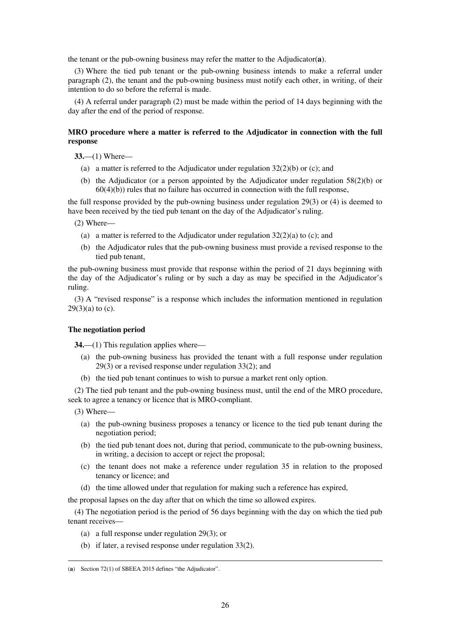the tenant or the pub-owning business may refer the matter to the Adjudicator(**a**).

(3) Where the tied pub tenant or the pub-owning business intends to make a referral under paragraph (2), the tenant and the pub-owning business must notify each other, in writing, of their intention to do so before the referral is made.

(4) A referral under paragraph (2) must be made within the period of 14 days beginning with the day after the end of the period of response.

### **MRO procedure where a matter is referred to the Adjudicator in connection with the full response**

**33.**—(1) Where—

- (a) a matter is referred to the Adjudicator under regulation  $32(2)(b)$  or (c); and
- (b) the Adjudicator (or a person appointed by the Adjudicator under regulation 58(2)(b) or  $60(4)(b)$ ) rules that no failure has occurred in connection with the full response,

the full response provided by the pub-owning business under regulation 29(3) or (4) is deemed to have been received by the tied pub tenant on the day of the Adjudicator's ruling.

(2) Where—

- (a) a matter is referred to the Adjudicator under regulation  $32(2)(a)$  to (c); and
- (b) the Adjudicator rules that the pub-owning business must provide a revised response to the tied pub tenant,

the pub-owning business must provide that response within the period of 21 days beginning with the day of the Adjudicator's ruling or by such a day as may be specified in the Adjudicator's ruling.

(3) A "revised response" is a response which includes the information mentioned in regulation  $29(3)(a)$  to (c).

### **The negotiation period**

**34.**—(1) This regulation applies where—

- (a) the pub-owning business has provided the tenant with a full response under regulation 29(3) or a revised response under regulation 33(2); and
- (b) the tied pub tenant continues to wish to pursue a market rent only option.

(2) The tied pub tenant and the pub-owning business must, until the end of the MRO procedure, seek to agree a tenancy or licence that is MRO-compliant.

(3) Where—

<u>.</u>

- (a) the pub-owning business proposes a tenancy or licence to the tied pub tenant during the negotiation period;
- (b) the tied pub tenant does not, during that period, communicate to the pub-owning business, in writing, a decision to accept or reject the proposal;
- (c) the tenant does not make a reference under regulation 35 in relation to the proposed tenancy or licence; and
- (d) the time allowed under that regulation for making such a reference has expired,

the proposal lapses on the day after that on which the time so allowed expires.

(4) The negotiation period is the period of 56 days beginning with the day on which the tied pub tenant receives—

- (a) a full response under regulation 29(3); or
- (b) if later, a revised response under regulation 33(2).

<sup>(</sup>**a**) Section 72(1) of SBEEA 2015 defines "the Adjudicator".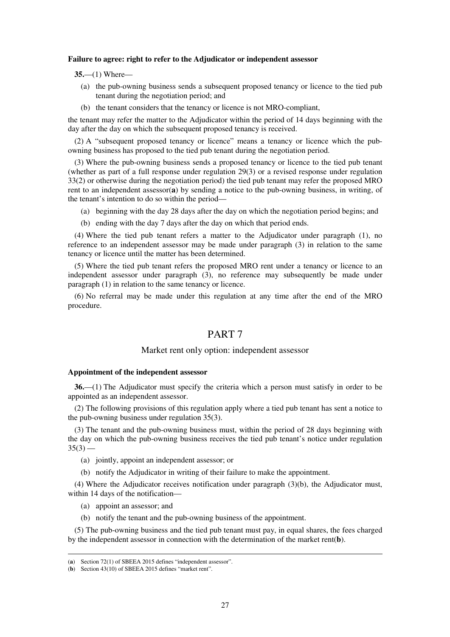#### **Failure to agree: right to refer to the Adjudicator or independent assessor**

**35.**—(1) Where—

- (a) the pub-owning business sends a subsequent proposed tenancy or licence to the tied pub tenant during the negotiation period; and
- (b) the tenant considers that the tenancy or licence is not MRO-compliant,

the tenant may refer the matter to the Adjudicator within the period of 14 days beginning with the day after the day on which the subsequent proposed tenancy is received.

(2) A "subsequent proposed tenancy or licence" means a tenancy or licence which the pubowning business has proposed to the tied pub tenant during the negotiation period.

(3) Where the pub-owning business sends a proposed tenancy or licence to the tied pub tenant (whether as part of a full response under regulation 29(3) or a revised response under regulation 33(2) or otherwise during the negotiation period) the tied pub tenant may refer the proposed MRO rent to an independent assessor(**a**) by sending a notice to the pub-owning business, in writing, of the tenant's intention to do so within the period—

- (a) beginning with the day 28 days after the day on which the negotiation period begins; and
- (b) ending with the day 7 days after the day on which that period ends.

(4) Where the tied pub tenant refers a matter to the Adjudicator under paragraph (1), no reference to an independent assessor may be made under paragraph (3) in relation to the same tenancy or licence until the matter has been determined.

(5) Where the tied pub tenant refers the proposed MRO rent under a tenancy or licence to an independent assessor under paragraph (3), no reference may subsequently be made under paragraph (1) in relation to the same tenancy or licence.

(6) No referral may be made under this regulation at any time after the end of the MRO procedure.

### PART 7

#### Market rent only option: independent assessor

#### **Appointment of the independent assessor**

**36.**—(1) The Adjudicator must specify the criteria which a person must satisfy in order to be appointed as an independent assessor.

(2) The following provisions of this regulation apply where a tied pub tenant has sent a notice to the pub-owning business under regulation 35(3).

(3) The tenant and the pub-owning business must, within the period of 28 days beginning with the day on which the pub-owning business receives the tied pub tenant's notice under regulation  $35(3)$  —

- (a) jointly, appoint an independent assessor; or
- (b) notify the Adjudicator in writing of their failure to make the appointment.

(4) Where the Adjudicator receives notification under paragraph (3)(b), the Adjudicator must, within 14 days of the notification—

(a) appoint an assessor; and

<u>.</u>

(b) notify the tenant and the pub-owning business of the appointment.

(5) The pub-owning business and the tied pub tenant must pay, in equal shares, the fees charged by the independent assessor in connection with the determination of the market rent(**b**).

<sup>(</sup>**a**) Section 72(1) of SBEEA 2015 defines "independent assessor".

<sup>(</sup>**b**) Section 43(10) of SBEEA 2015 defines "market rent".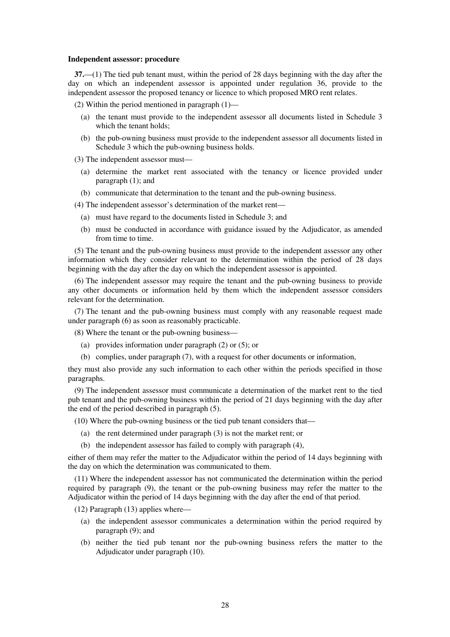#### **Independent assessor: procedure**

**37.**—(1) The tied pub tenant must, within the period of 28 days beginning with the day after the day on which an independent assessor is appointed under regulation 36, provide to the independent assessor the proposed tenancy or licence to which proposed MRO rent relates.

(2) Within the period mentioned in paragraph  $(1)$ —

- (a) the tenant must provide to the independent assessor all documents listed in Schedule 3 which the tenant holds;
- (b) the pub-owning business must provide to the independent assessor all documents listed in Schedule 3 which the pub-owning business holds.

(3) The independent assessor must—

- (a) determine the market rent associated with the tenancy or licence provided under paragraph (1); and
- (b) communicate that determination to the tenant and the pub-owning business.

(4) The independent assessor's determination of the market rent—

- (a) must have regard to the documents listed in Schedule 3; and
- (b) must be conducted in accordance with guidance issued by the Adjudicator, as amended from time to time.

(5) The tenant and the pub-owning business must provide to the independent assessor any other information which they consider relevant to the determination within the period of 28 days beginning with the day after the day on which the independent assessor is appointed.

(6) The independent assessor may require the tenant and the pub-owning business to provide any other documents or information held by them which the independent assessor considers relevant for the determination.

(7) The tenant and the pub-owning business must comply with any reasonable request made under paragraph (6) as soon as reasonably practicable.

(8) Where the tenant or the pub-owning business—

- (a) provides information under paragraph (2) or (5); or
- (b) complies, under paragraph (7), with a request for other documents or information,

they must also provide any such information to each other within the periods specified in those paragraphs.

(9) The independent assessor must communicate a determination of the market rent to the tied pub tenant and the pub-owning business within the period of 21 days beginning with the day after the end of the period described in paragraph (5).

- (10) Where the pub-owning business or the tied pub tenant considers that—
	- (a) the rent determined under paragraph (3) is not the market rent; or
	- (b) the independent assessor has failed to comply with paragraph (4),

either of them may refer the matter to the Adjudicator within the period of 14 days beginning with the day on which the determination was communicated to them.

(11) Where the independent assessor has not communicated the determination within the period required by paragraph (9), the tenant or the pub-owning business may refer the matter to the Adjudicator within the period of 14 days beginning with the day after the end of that period.

(12) Paragraph (13) applies where—

- (a) the independent assessor communicates a determination within the period required by paragraph (9); and
- (b) neither the tied pub tenant nor the pub-owning business refers the matter to the Adjudicator under paragraph (10).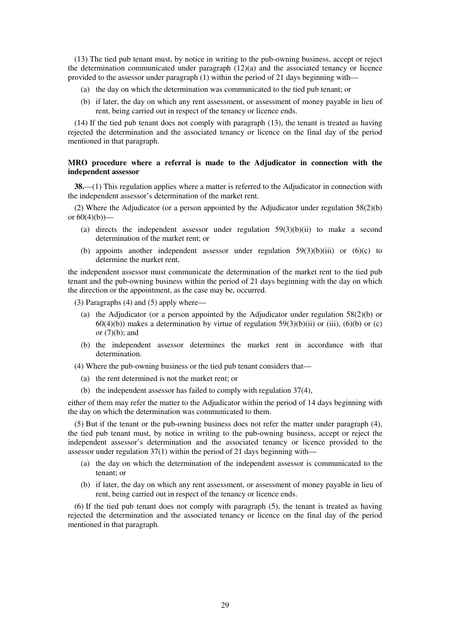(13) The tied pub tenant must, by notice in writing to the pub-owning business, accept or reject the determination communicated under paragraph  $(12)(a)$  and the associated tenancy or licence provided to the assessor under paragraph (1) within the period of 21 days beginning with—

- (a) the day on which the determination was communicated to the tied pub tenant; or
- (b) if later, the day on which any rent assessment, or assessment of money payable in lieu of rent, being carried out in respect of the tenancy or licence ends.

(14) If the tied pub tenant does not comply with paragraph (13), the tenant is treated as having rejected the determination and the associated tenancy or licence on the final day of the period mentioned in that paragraph.

### **MRO procedure where a referral is made to the Adjudicator in connection with the independent assessor**

**38.**—(1) This regulation applies where a matter is referred to the Adjudicator in connection with the independent assessor's determination of the market rent.

(2) Where the Adjudicator (or a person appointed by the Adjudicator under regulation 58(2)(b) or  $60(4)(b)$ —

- (a) directs the independent assessor under regulation  $59(3)(b)(ii)$  to make a second determination of the market rent; or
- (b) appoints another independent assessor under regulation  $59(3)(b)(iii)$  or  $(6)(c)$  to determine the market rent,

the independent assessor must communicate the determination of the market rent to the tied pub tenant and the pub-owning business within the period of 21 days beginning with the day on which the direction or the appointment, as the case may be, occurred.

(3) Paragraphs (4) and (5) apply where—

- (a) the Adjudicator (or a person appointed by the Adjudicator under regulation 58(2)(b) or  $60(4)(b)$ ) makes a determination by virtue of regulation  $59(3)(b)(ii)$  or (iii), (6)(b) or (c) or  $(7)(b)$ ; and
- (b) the independent assessor determines the market rent in accordance with that determination.
- (4) Where the pub-owning business or the tied pub tenant considers that—
	- (a) the rent determined is not the market rent; or
	- (b) the independent assessor has failed to comply with regulation 37(4),

either of them may refer the matter to the Adjudicator within the period of 14 days beginning with the day on which the determination was communicated to them.

(5) But if the tenant or the pub-owning business does not refer the matter under paragraph (4), the tied pub tenant must, by notice in writing to the pub-owning business, accept or reject the independent assessor's determination and the associated tenancy or licence provided to the assessor under regulation  $37(1)$  within the period of 21 days beginning with—

- (a) the day on which the determination of the independent assessor is communicated to the tenant; or
- (b) if later, the day on which any rent assessment, or assessment of money payable in lieu of rent, being carried out in respect of the tenancy or licence ends.

(6) If the tied pub tenant does not comply with paragraph (5), the tenant is treated as having rejected the determination and the associated tenancy or licence on the final day of the period mentioned in that paragraph.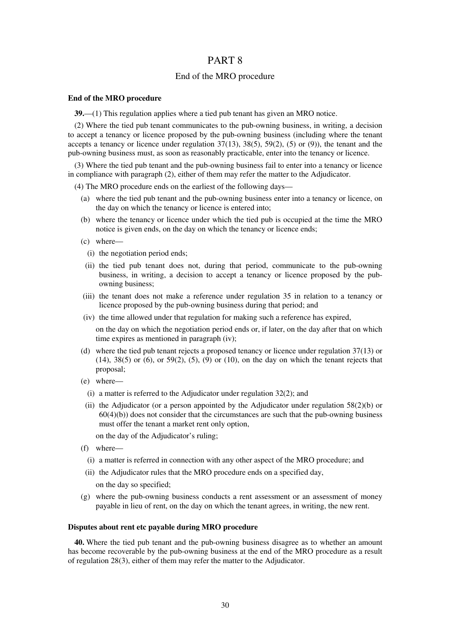### PART 8

### End of the MRO procedure

#### **End of the MRO procedure**

**39.**—(1) This regulation applies where a tied pub tenant has given an MRO notice.

(2) Where the tied pub tenant communicates to the pub-owning business, in writing, a decision to accept a tenancy or licence proposed by the pub-owning business (including where the tenant accepts a tenancy or licence under regulation  $37(13)$ ,  $38(5)$ ,  $59(2)$ ,  $(5)$  or  $(9)$ ), the tenant and the pub-owning business must, as soon as reasonably practicable, enter into the tenancy or licence.

(3) Where the tied pub tenant and the pub-owning business fail to enter into a tenancy or licence in compliance with paragraph (2), either of them may refer the matter to the Adjudicator.

(4) The MRO procedure ends on the earliest of the following days—

- (a) where the tied pub tenant and the pub-owning business enter into a tenancy or licence, on the day on which the tenancy or licence is entered into;
- (b) where the tenancy or licence under which the tied pub is occupied at the time the MRO notice is given ends, on the day on which the tenancy or licence ends;
- (c) where—
	- (i) the negotiation period ends;
- (ii) the tied pub tenant does not, during that period, communicate to the pub-owning business, in writing, a decision to accept a tenancy or licence proposed by the pubowning business;
- (iii) the tenant does not make a reference under regulation 35 in relation to a tenancy or licence proposed by the pub-owning business during that period; and
- (iv) the time allowed under that regulation for making such a reference has expired,

on the day on which the negotiation period ends or, if later, on the day after that on which time expires as mentioned in paragraph (iv);

- (d) where the tied pub tenant rejects a proposed tenancy or licence under regulation 37(13) or  $(14)$ ,  $38(5)$  or  $(6)$ , or  $59(2)$ ,  $(5)$ ,  $(9)$  or  $(10)$ , on the day on which the tenant rejects that proposal;
- (e) where—
	- (i) a matter is referred to the Adjudicator under regulation 32(2); and
- (ii) the Adjudicator (or a person appointed by the Adjudicator under regulation  $58(2)(b)$  or  $60(4)(b)$ ) does not consider that the circumstances are such that the pub-owning business must offer the tenant a market rent only option,

on the day of the Adjudicator's ruling;

- (f) where—
- (i) a matter is referred in connection with any other aspect of the MRO procedure; and
- (ii) the Adjudicator rules that the MRO procedure ends on a specified day,

on the day so specified;

(g) where the pub-owning business conducts a rent assessment or an assessment of money payable in lieu of rent, on the day on which the tenant agrees, in writing, the new rent.

#### **Disputes about rent etc payable during MRO procedure**

**40.** Where the tied pub tenant and the pub-owning business disagree as to whether an amount has become recoverable by the pub-owning business at the end of the MRO procedure as a result of regulation 28(3), either of them may refer the matter to the Adjudicator.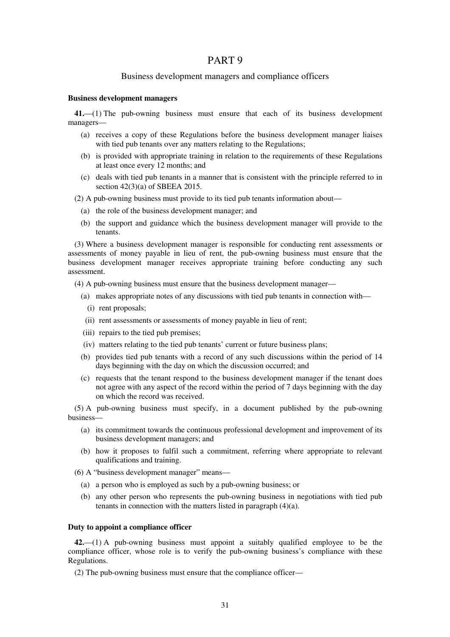### PART 9

### Business development managers and compliance officers

#### **Business development managers**

**41.**—(1) The pub-owning business must ensure that each of its business development managers—

- (a) receives a copy of these Regulations before the business development manager liaises with tied pub tenants over any matters relating to the Regulations;
- (b) is provided with appropriate training in relation to the requirements of these Regulations at least once every 12 months; and
- (c) deals with tied pub tenants in a manner that is consistent with the principle referred to in section 42(3)(a) of SBEEA 2015.

(2) A pub-owning business must provide to its tied pub tenants information about—

- (a) the role of the business development manager; and
- (b) the support and guidance which the business development manager will provide to the tenants.

(3) Where a business development manager is responsible for conducting rent assessments or assessments of money payable in lieu of rent, the pub-owning business must ensure that the business development manager receives appropriate training before conducting any such assessment.

(4) A pub-owning business must ensure that the business development manager—

- (a) makes appropriate notes of any discussions with tied pub tenants in connection with—
	- (i) rent proposals;
- (ii) rent assessments or assessments of money payable in lieu of rent;
- (iii) repairs to the tied pub premises;
- (iv) matters relating to the tied pub tenants' current or future business plans;
- (b) provides tied pub tenants with a record of any such discussions within the period of 14 days beginning with the day on which the discussion occurred; and
- (c) requests that the tenant respond to the business development manager if the tenant does not agree with any aspect of the record within the period of 7 days beginning with the day on which the record was received.

(5) A pub-owning business must specify, in a document published by the pub-owning business—

- (a) its commitment towards the continuous professional development and improvement of its business development managers; and
- (b) how it proposes to fulfil such a commitment, referring where appropriate to relevant qualifications and training.
- (6) A "business development manager" means—
	- (a) a person who is employed as such by a pub-owning business; or
	- (b) any other person who represents the pub-owning business in negotiations with tied pub tenants in connection with the matters listed in paragraph (4)(a).

### **Duty to appoint a compliance officer**

**42.**—(1) A pub-owning business must appoint a suitably qualified employee to be the compliance officer, whose role is to verify the pub-owning business's compliance with these Regulations.

(2) The pub-owning business must ensure that the compliance officer—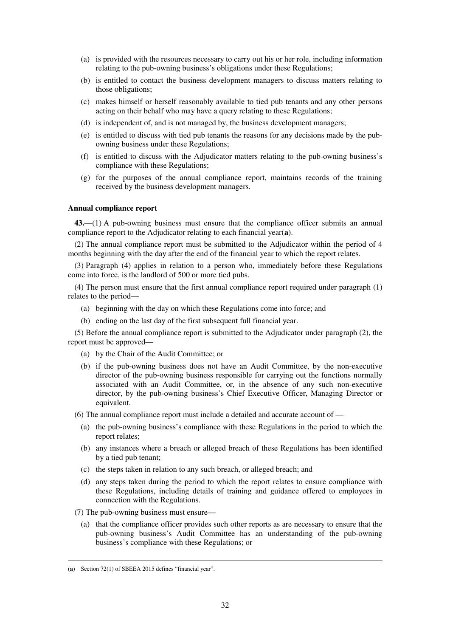- (a) is provided with the resources necessary to carry out his or her role, including information relating to the pub-owning business's obligations under these Regulations;
- (b) is entitled to contact the business development managers to discuss matters relating to those obligations;
- (c) makes himself or herself reasonably available to tied pub tenants and any other persons acting on their behalf who may have a query relating to these Regulations;
- (d) is independent of, and is not managed by, the business development managers;
- (e) is entitled to discuss with tied pub tenants the reasons for any decisions made by the pubowning business under these Regulations;
- (f) is entitled to discuss with the Adjudicator matters relating to the pub-owning business's compliance with these Regulations;
- (g) for the purposes of the annual compliance report, maintains records of the training received by the business development managers.

### **Annual compliance report**

**43.**—(1) A pub-owning business must ensure that the compliance officer submits an annual compliance report to the Adjudicator relating to each financial year(**a**).

(2) The annual compliance report must be submitted to the Adjudicator within the period of 4 months beginning with the day after the end of the financial year to which the report relates.

(3) Paragraph (4) applies in relation to a person who, immediately before these Regulations come into force, is the landlord of 500 or more tied pubs.

(4) The person must ensure that the first annual compliance report required under paragraph (1) relates to the period—

- (a) beginning with the day on which these Regulations come into force; and
- (b) ending on the last day of the first subsequent full financial year.

(5) Before the annual compliance report is submitted to the Adjudicator under paragraph (2), the report must be approved—

- (a) by the Chair of the Audit Committee; or
- (b) if the pub-owning business does not have an Audit Committee, by the non-executive director of the pub-owning business responsible for carrying out the functions normally associated with an Audit Committee, or, in the absence of any such non-executive director, by the pub-owning business's Chief Executive Officer, Managing Director or equivalent.

(6) The annual compliance report must include a detailed and accurate account of —

- (a) the pub-owning business's compliance with these Regulations in the period to which the report relates;
- (b) any instances where a breach or alleged breach of these Regulations has been identified by a tied pub tenant;
- (c) the steps taken in relation to any such breach, or alleged breach; and
- (d) any steps taken during the period to which the report relates to ensure compliance with these Regulations, including details of training and guidance offered to employees in connection with the Regulations.
- (7) The pub-owning business must ensure—
	- (a) that the compliance officer provides such other reports as are necessary to ensure that the pub-owning business's Audit Committee has an understanding of the pub-owning business's compliance with these Regulations; or

<u>.</u>

<sup>(</sup>**a**) Section 72(1) of SBEEA 2015 defines "financial year".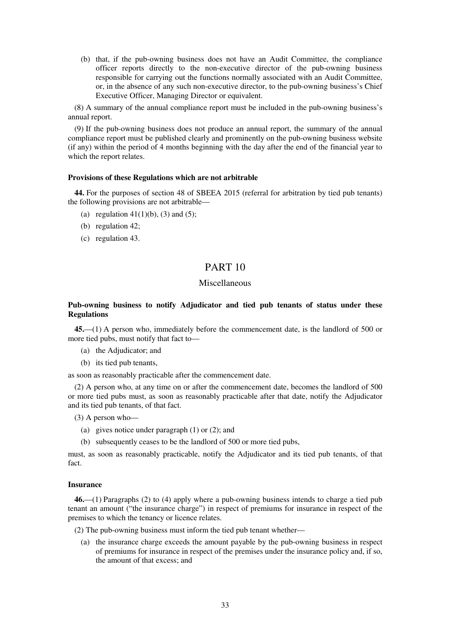(b) that, if the pub-owning business does not have an Audit Committee, the compliance officer reports directly to the non-executive director of the pub-owning business responsible for carrying out the functions normally associated with an Audit Committee, or, in the absence of any such non-executive director, to the pub-owning business's Chief Executive Officer, Managing Director or equivalent.

(8) A summary of the annual compliance report must be included in the pub-owning business's annual report.

(9) If the pub-owning business does not produce an annual report, the summary of the annual compliance report must be published clearly and prominently on the pub-owning business website (if any) within the period of 4 months beginning with the day after the end of the financial year to which the report relates.

### **Provisions of these Regulations which are not arbitrable**

**44.** For the purposes of section 48 of SBEEA 2015 (referral for arbitration by tied pub tenants) the following provisions are not arbitrable—

- (a) regulation  $41(1)(b)$ , (3) and (5);
- (b) regulation 42;
- (c) regulation 43.

### PART 10

### Miscellaneous

### **Pub-owning business to notify Adjudicator and tied pub tenants of status under these Regulations**

**45.**—(1) A person who, immediately before the commencement date, is the landlord of 500 or more tied pubs, must notify that fact to—

- (a) the Adjudicator; and
- (b) its tied pub tenants,

as soon as reasonably practicable after the commencement date.

(2) A person who, at any time on or after the commencement date, becomes the landlord of 500 or more tied pubs must, as soon as reasonably practicable after that date, notify the Adjudicator and its tied pub tenants, of that fact.

(3) A person who—

- (a) gives notice under paragraph (1) or (2); and
- (b) subsequently ceases to be the landlord of 500 or more tied pubs,

must, as soon as reasonably practicable, notify the Adjudicator and its tied pub tenants, of that fact.

### **Insurance**

**46.**—(1) Paragraphs (2) to (4) apply where a pub-owning business intends to charge a tied pub tenant an amount ("the insurance charge") in respect of premiums for insurance in respect of the premises to which the tenancy or licence relates.

(2) The pub-owning business must inform the tied pub tenant whether—

(a) the insurance charge exceeds the amount payable by the pub-owning business in respect of premiums for insurance in respect of the premises under the insurance policy and, if so, the amount of that excess; and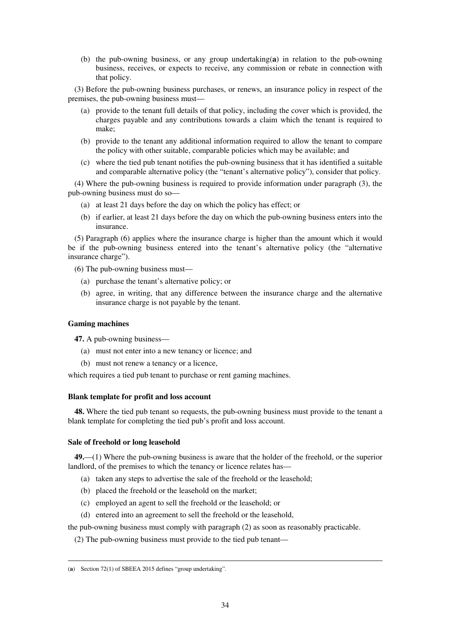(b) the pub-owning business, or any group undertaking(**a**) in relation to the pub-owning business, receives, or expects to receive, any commission or rebate in connection with that policy.

(3) Before the pub-owning business purchases, or renews, an insurance policy in respect of the premises, the pub-owning business must—

- (a) provide to the tenant full details of that policy, including the cover which is provided, the charges payable and any contributions towards a claim which the tenant is required to make;
- (b) provide to the tenant any additional information required to allow the tenant to compare the policy with other suitable, comparable policies which may be available; and
- (c) where the tied pub tenant notifies the pub-owning business that it has identified a suitable and comparable alternative policy (the "tenant's alternative policy"), consider that policy.

(4) Where the pub-owning business is required to provide information under paragraph (3), the pub-owning business must do so—

- (a) at least 21 days before the day on which the policy has effect; or
- (b) if earlier, at least 21 days before the day on which the pub-owning business enters into the insurance.

(5) Paragraph (6) applies where the insurance charge is higher than the amount which it would be if the pub-owning business entered into the tenant's alternative policy (the "alternative insurance charge").

(6) The pub-owning business must—

- (a) purchase the tenant's alternative policy; or
- (b) agree, in writing, that any difference between the insurance charge and the alternative insurance charge is not payable by the tenant.

#### **Gaming machines**

<u>.</u>

**47.** A pub-owning business—

- (a) must not enter into a new tenancy or licence; and
- (b) must not renew a tenancy or a licence,

which requires a tied pub tenant to purchase or rent gaming machines.

### **Blank template for profit and loss account**

**48.** Where the tied pub tenant so requests, the pub-owning business must provide to the tenant a blank template for completing the tied pub's profit and loss account.

### **Sale of freehold or long leasehold**

**49.**—(1) Where the pub-owning business is aware that the holder of the freehold, or the superior landlord, of the premises to which the tenancy or licence relates has—

- (a) taken any steps to advertise the sale of the freehold or the leasehold;
- (b) placed the freehold or the leasehold on the market;
- (c) employed an agent to sell the freehold or the leasehold; or
- (d) entered into an agreement to sell the freehold or the leasehold,

the pub-owning business must comply with paragraph (2) as soon as reasonably practicable.

(2) The pub-owning business must provide to the tied pub tenant—

<sup>(</sup>**a**) Section 72(1) of SBEEA 2015 defines "group undertaking".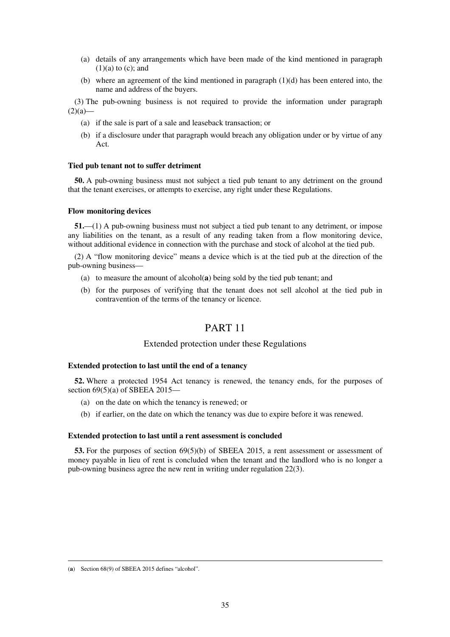- (a) details of any arrangements which have been made of the kind mentioned in paragraph  $(1)(a)$  to  $(c)$ ; and
- (b) where an agreement of the kind mentioned in paragraph  $(1)(d)$  has been entered into, the name and address of the buyers.

(3) The pub-owning business is not required to provide the information under paragraph  $(2)(a)$ —

- (a) if the sale is part of a sale and leaseback transaction; or
- (b) if a disclosure under that paragraph would breach any obligation under or by virtue of any Act.

#### **Tied pub tenant not to suffer detriment**

**50.** A pub-owning business must not subject a tied pub tenant to any detriment on the ground that the tenant exercises, or attempts to exercise, any right under these Regulations.

#### **Flow monitoring devices**

**51.**—(1) A pub-owning business must not subject a tied pub tenant to any detriment, or impose any liabilities on the tenant, as a result of any reading taken from a flow monitoring device, without additional evidence in connection with the purchase and stock of alcohol at the tied pub.

(2) A "flow monitoring device" means a device which is at the tied pub at the direction of the pub-owning business—

- (a) to measure the amount of alcohol(**a**) being sold by the tied pub tenant; and
- (b) for the purposes of verifying that the tenant does not sell alcohol at the tied pub in contravention of the terms of the tenancy or licence.

# PART 11

### Extended protection under these Regulations

### **Extended protection to last until the end of a tenancy**

**52.** Where a protected 1954 Act tenancy is renewed, the tenancy ends, for the purposes of section  $69(5)(a)$  of SBEEA 2015–

- (a) on the date on which the tenancy is renewed; or
- (b) if earlier, on the date on which the tenancy was due to expire before it was renewed.

### **Extended protection to last until a rent assessment is concluded**

**53.** For the purposes of section 69(5)(b) of SBEEA 2015, a rent assessment or assessment of money payable in lieu of rent is concluded when the tenant and the landlord who is no longer a pub-owning business agree the new rent in writing under regulation 22(3).

<u>.</u>

<sup>(</sup>**a**) Section 68(9) of SBEEA 2015 defines "alcohol".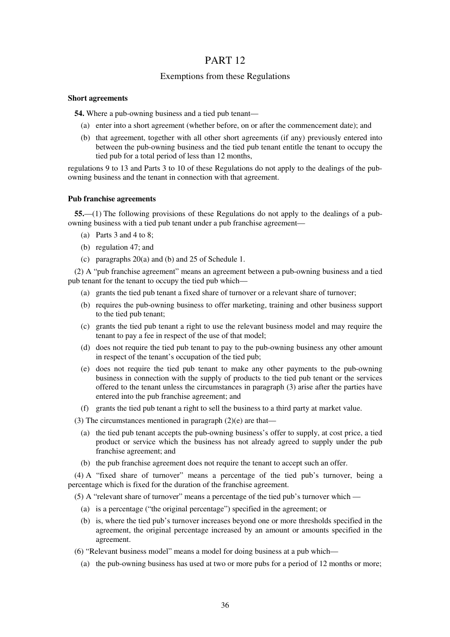# PART 12

### Exemptions from these Regulations

### **Short agreements**

**54.** Where a pub-owning business and a tied pub tenant—

- (a) enter into a short agreement (whether before, on or after the commencement date); and
- (b) that agreement, together with all other short agreements (if any) previously entered into between the pub-owning business and the tied pub tenant entitle the tenant to occupy the tied pub for a total period of less than 12 months,

regulations 9 to 13 and Parts 3 to 10 of these Regulations do not apply to the dealings of the pubowning business and the tenant in connection with that agreement.

### **Pub franchise agreements**

**55.**—(1) The following provisions of these Regulations do not apply to the dealings of a pubowning business with a tied pub tenant under a pub franchise agreement—

- (a) Parts 3 and 4 to 8;
- (b) regulation 47; and
- (c) paragraphs 20(a) and (b) and 25 of Schedule 1.

(2) A "pub franchise agreement" means an agreement between a pub-owning business and a tied pub tenant for the tenant to occupy the tied pub which—

- (a) grants the tied pub tenant a fixed share of turnover or a relevant share of turnover;
- (b) requires the pub-owning business to offer marketing, training and other business support to the tied pub tenant;
- (c) grants the tied pub tenant a right to use the relevant business model and may require the tenant to pay a fee in respect of the use of that model;
- (d) does not require the tied pub tenant to pay to the pub-owning business any other amount in respect of the tenant's occupation of the tied pub;
- (e) does not require the tied pub tenant to make any other payments to the pub-owning business in connection with the supply of products to the tied pub tenant or the services offered to the tenant unless the circumstances in paragraph (3) arise after the parties have entered into the pub franchise agreement; and
- (f) grants the tied pub tenant a right to sell the business to a third party at market value.
- (3) The circumstances mentioned in paragraph (2)(e) are that—
	- (a) the tied pub tenant accepts the pub-owning business's offer to supply, at cost price, a tied product or service which the business has not already agreed to supply under the pub franchise agreement; and
	- (b) the pub franchise agreement does not require the tenant to accept such an offer.

(4) A "fixed share of turnover" means a percentage of the tied pub's turnover, being a percentage which is fixed for the duration of the franchise agreement.

(5) A "relevant share of turnover" means a percentage of the tied pub's turnover which —

- (a) is a percentage ("the original percentage") specified in the agreement; or
- (b) is, where the tied pub's turnover increases beyond one or more thresholds specified in the agreement, the original percentage increased by an amount or amounts specified in the agreement.
- (6) "Relevant business model" means a model for doing business at a pub which—
	- (a) the pub-owning business has used at two or more pubs for a period of 12 months or more;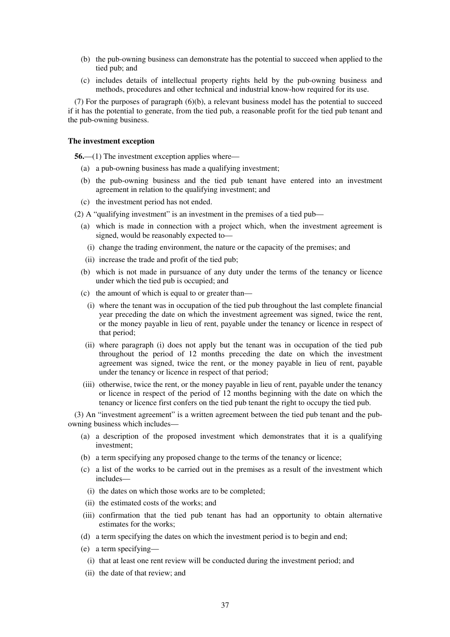- (b) the pub-owning business can demonstrate has the potential to succeed when applied to the tied pub; and
- (c) includes details of intellectual property rights held by the pub-owning business and methods, procedures and other technical and industrial know-how required for its use.

(7) For the purposes of paragraph (6)(b), a relevant business model has the potential to succeed if it has the potential to generate, from the tied pub, a reasonable profit for the tied pub tenant and the pub-owning business.

### **The investment exception**

**56.**—(1) The investment exception applies where—

- (a) a pub-owning business has made a qualifying investment;
- (b) the pub-owning business and the tied pub tenant have entered into an investment agreement in relation to the qualifying investment; and
- (c) the investment period has not ended.
- (2) A "qualifying investment" is an investment in the premises of a tied pub—
	- (a) which is made in connection with a project which, when the investment agreement is signed, would be reasonably expected to—
		- (i) change the trading environment, the nature or the capacity of the premises; and
	- (ii) increase the trade and profit of the tied pub;
	- (b) which is not made in pursuance of any duty under the terms of the tenancy or licence under which the tied pub is occupied; and
	- (c) the amount of which is equal to or greater than—
		- (i) where the tenant was in occupation of the tied pub throughout the last complete financial year preceding the date on which the investment agreement was signed, twice the rent, or the money payable in lieu of rent, payable under the tenancy or licence in respect of that period;
	- (ii) where paragraph (i) does not apply but the tenant was in occupation of the tied pub throughout the period of 12 months preceding the date on which the investment agreement was signed, twice the rent, or the money payable in lieu of rent, payable under the tenancy or licence in respect of that period;
	- (iii) otherwise, twice the rent, or the money payable in lieu of rent, payable under the tenancy or licence in respect of the period of 12 months beginning with the date on which the tenancy or licence first confers on the tied pub tenant the right to occupy the tied pub.

(3) An "investment agreement" is a written agreement between the tied pub tenant and the pubowning business which includes—

- (a) a description of the proposed investment which demonstrates that it is a qualifying investment;
- (b) a term specifying any proposed change to the terms of the tenancy or licence;
- (c) a list of the works to be carried out in the premises as a result of the investment which includes—
- (i) the dates on which those works are to be completed;
- (ii) the estimated costs of the works; and
- (iii) confirmation that the tied pub tenant has had an opportunity to obtain alternative estimates for the works;
- (d) a term specifying the dates on which the investment period is to begin and end;
- (e) a term specifying—
- (i) that at least one rent review will be conducted during the investment period; and
- (ii) the date of that review; and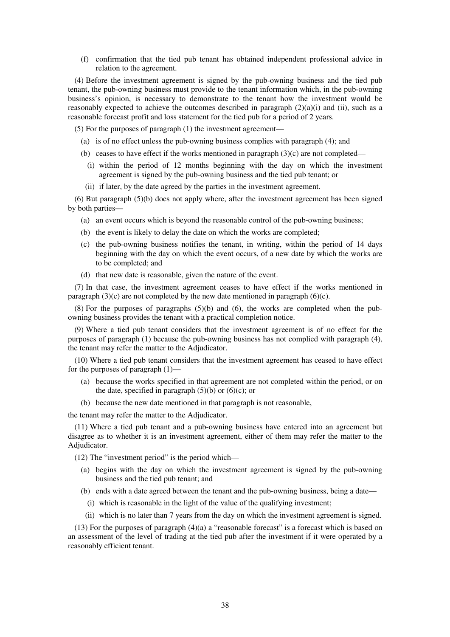(f) confirmation that the tied pub tenant has obtained independent professional advice in relation to the agreement.

(4) Before the investment agreement is signed by the pub-owning business and the tied pub tenant, the pub-owning business must provide to the tenant information which, in the pub-owning business's opinion, is necessary to demonstrate to the tenant how the investment would be reasonably expected to achieve the outcomes described in paragraph  $(2)(a)(i)$  and (ii), such as a reasonable forecast profit and loss statement for the tied pub for a period of 2 years.

(5) For the purposes of paragraph (1) the investment agreement—

- (a) is of no effect unless the pub-owning business complies with paragraph (4); and
- (b) ceases to have effect if the works mentioned in paragraph  $(3)(c)$  are not completed—
	- (i) within the period of 12 months beginning with the day on which the investment agreement is signed by the pub-owning business and the tied pub tenant; or
- (ii) if later, by the date agreed by the parties in the investment agreement.

(6) But paragraph (5)(b) does not apply where, after the investment agreement has been signed by both parties—

- (a) an event occurs which is beyond the reasonable control of the pub-owning business;
- (b) the event is likely to delay the date on which the works are completed;
- (c) the pub-owning business notifies the tenant, in writing, within the period of 14 days beginning with the day on which the event occurs, of a new date by which the works are to be completed; and
- (d) that new date is reasonable, given the nature of the event.

(7) In that case, the investment agreement ceases to have effect if the works mentioned in paragraph  $(3)(c)$  are not completed by the new date mentioned in paragraph  $(6)(c)$ .

 $(8)$  For the purposes of paragraphs  $(5)(b)$  and  $(6)$ , the works are completed when the pubowning business provides the tenant with a practical completion notice.

(9) Where a tied pub tenant considers that the investment agreement is of no effect for the purposes of paragraph (1) because the pub-owning business has not complied with paragraph (4), the tenant may refer the matter to the Adjudicator.

(10) Where a tied pub tenant considers that the investment agreement has ceased to have effect for the purposes of paragraph (1)—

- (a) because the works specified in that agreement are not completed within the period, or on the date, specified in paragraph  $(5)(b)$  or  $(6)(c)$ ; or
- (b) because the new date mentioned in that paragraph is not reasonable,

the tenant may refer the matter to the Adjudicator.

(11) Where a tied pub tenant and a pub-owning business have entered into an agreement but disagree as to whether it is an investment agreement, either of them may refer the matter to the Adjudicator.

(12) The "investment period" is the period which—

- (a) begins with the day on which the investment agreement is signed by the pub-owning business and the tied pub tenant; and
- (b) ends with a date agreed between the tenant and the pub-owning business, being a date—
- (i) which is reasonable in the light of the value of the qualifying investment;
- (ii) which is no later than 7 years from the day on which the investment agreement is signed.

 $(13)$  For the purposes of paragraph  $(4)(a)$  a "reasonable forecast" is a forecast which is based on an assessment of the level of trading at the tied pub after the investment if it were operated by a reasonably efficient tenant.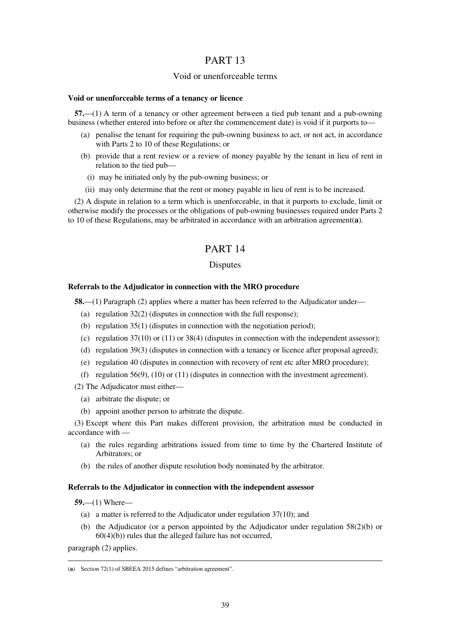# PART 13

### Void or unenforceable terms

### **Void or unenforceable terms of a tenancy or licence**

**57.**—(1) A term of a tenancy or other agreement between a tied pub tenant and a pub-owning business (whether entered into before or after the commencement date) is void if it purports to—

- (a) penalise the tenant for requiring the pub-owning business to act, or not act, in accordance with Parts 2 to 10 of these Regulations; or
- (b) provide that a rent review or a review of money payable by the tenant in lieu of rent in relation to the tied pub—
	- (i) may be initiated only by the pub-owning business; or
- (ii) may only determine that the rent or money payable in lieu of rent is to be increased.

(2) A dispute in relation to a term which is unenforceable, in that it purports to exclude, limit or otherwise modify the processes or the obligations of pub-owning businesses required under Parts 2 to 10 of these Regulations, may be arbitrated in accordance with an arbitration agreement(**a**).

# PART 14

### Disputes

### **Referrals to the Adjudicator in connection with the MRO procedure**

**58.**—(1) Paragraph (2) applies where a matter has been referred to the Adjudicator under—

- (a) regulation  $32(2)$  (disputes in connection with the full response);
- (b) regulation 35(1) (disputes in connection with the negotiation period);
- (c) regulation 37(10) or (11) or 38(4) (disputes in connection with the independent assessor);
- (d) regulation 39(3) (disputes in connection with a tenancy or licence after proposal agreed);
- (e) regulation 40 (disputes in connection with recovery of rent etc after MRO procedure);
- (f) regulation 56(9), (10) or (11) (disputes in connection with the investment agreement).

(2) The Adjudicator must either—

- (a) arbitrate the dispute; or
- (b) appoint another person to arbitrate the dispute.

(3) Except where this Part makes different provision, the arbitration must be conducted in accordance with —

- (a) the rules regarding arbitrations issued from time to time by the Chartered Institute of Arbitrators; or
- (b) the rules of another dispute resolution body nominated by the arbitrator.

### **Referrals to the Adjudicator in connection with the independent assessor**

**59.**—(1) Where—

- (a) a matter is referred to the Adjudicator under regulation 37(10); and
- (b) the Adjudicator (or a person appointed by the Adjudicator under regulation 58(2)(b) or  $60(4)(b)$ ) rules that the alleged failure has not occurred,

paragraph (2) applies.

<u>.</u>

<sup>(</sup>**a**) Section 72(1) of SBEEA 2015 defines "arbitration agreement".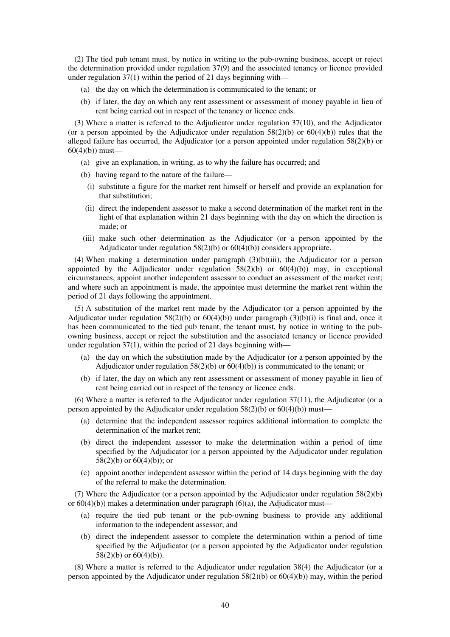(2) The tied pub tenant must, by notice in writing to the pub-owning business, accept or reject the determination provided under regulation 37(9) and the associated tenancy or licence provided under regulation 37(1) within the period of 21 days beginning with—

- (a) the day on which the determination is communicated to the tenant; or
- (b) if later, the day on which any rent assessment or assessment of money payable in lieu of rent being carried out in respect of the tenancy or licence ends.

(3) Where a matter is referred to the Adjudicator under regulation 37(10), and the Adjudicator (or a person appointed by the Adjudicator under regulation  $58(2)(b)$  or  $60(4)(b)$ ) rules that the alleged failure has occurred, the Adjudicator (or a person appointed under regulation 58(2)(b) or  $60(4)(b)$  must—

- (a) give an explanation, in writing, as to why the failure has occurred; and
- (b) having regard to the nature of the failure—
	- (i) substitute a figure for the market rent himself or herself and provide an explanation for that substitution;
- (ii) direct the independent assessor to make a second determination of the market rent in the light of that explanation within 21 days beginning with the day on which the direction is made; or
- (iii) make such other determination as the Adjudicator (or a person appointed by the Adjudicator under regulation  $58(2)(b)$  or  $60(4)(b)$ ) considers appropriate.

(4) When making a determination under paragraph (3)(b)(iii), the Adjudicator (or a person appointed by the Adjudicator under regulation  $58(2)(b)$  or  $60(4)(b)$  may, in exceptional circumstances, appoint another independent assessor to conduct an assessment of the market rent; and where such an appointment is made, the appointee must determine the market rent within the period of 21 days following the appointment.

(5) A substitution of the market rent made by the Adjudicator (or a person appointed by the Adjudicator under regulation  $58(2)(b)$  or  $60(4)(b)$ ) under paragraph  $(3)(b)(i)$  is final and, once it has been communicated to the tied pub tenant, the tenant must, by notice in writing to the pubowning business, accept or reject the substitution and the associated tenancy or licence provided under regulation  $37(1)$ , within the period of 21 days beginning with—

- (a) the day on which the substitution made by the Adjudicator (or a person appointed by the Adjudicator under regulation  $58(2)(b)$  or  $60(4)(b)$ ) is communicated to the tenant; or
- (b) if later, the day on which any rent assessment or assessment of money payable in lieu of rent being carried out in respect of the tenancy or licence ends.

(6) Where a matter is referred to the Adjudicator under regulation 37(11), the Adjudicator (or a person appointed by the Adjudicator under regulation  $58(2)(b)$  or  $60(4)(b)$ ) must—

- (a) determine that the independent assessor requires additional information to complete the determination of the market rent;
- (b) direct the independent assessor to make the determination within a period of time specified by the Adjudicator (or a person appointed by the Adjudicator under regulation 58(2)(b) or  $60(4)(b)$ ; or
- (c) appoint another independent assessor within the period of 14 days beginning with the day of the referral to make the determination.

(7) Where the Adjudicator (or a person appointed by the Adjudicator under regulation 58(2)(b) or  $60(4)(b)$ ) makes a determination under paragraph  $(6)(a)$ , the Adjudicator must—

- (a) require the tied pub tenant or the pub-owning business to provide any additional information to the independent assessor; and
- (b) direct the independent assessor to complete the determination within a period of time specified by the Adjudicator (or a person appointed by the Adjudicator under regulation  $58(2)(b)$  or  $60(4)(b)$ ).

(8) Where a matter is referred to the Adjudicator under regulation 38(4) the Adjudicator (or a person appointed by the Adjudicator under regulation  $58(2)(b)$  or  $60(4)(b)$ ) may, within the period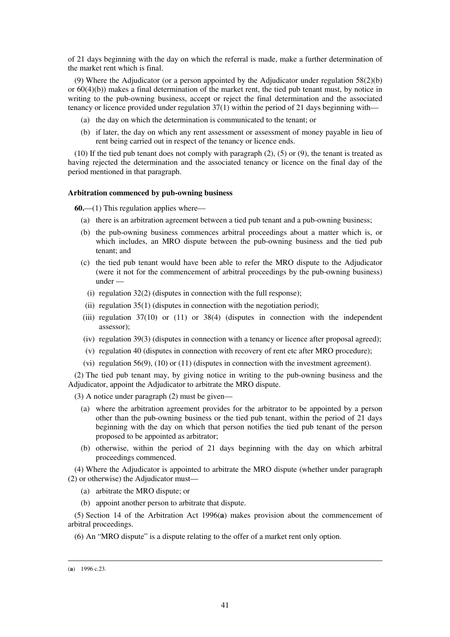of 21 days beginning with the day on which the referral is made, make a further determination of the market rent which is final.

(9) Where the Adjudicator (or a person appointed by the Adjudicator under regulation 58(2)(b) or 60(4)(b)) makes a final determination of the market rent, the tied pub tenant must, by notice in writing to the pub-owning business, accept or reject the final determination and the associated tenancy or licence provided under regulation 37(1) within the period of 21 days beginning with—

- (a) the day on which the determination is communicated to the tenant; or
- (b) if later, the day on which any rent assessment or assessment of money payable in lieu of rent being carried out in respect of the tenancy or licence ends.

(10) If the tied pub tenant does not comply with paragraph (2), (5) or (9), the tenant is treated as having rejected the determination and the associated tenancy or licence on the final day of the period mentioned in that paragraph.

#### **Arbitration commenced by pub-owning business**

**60.**—(1) This regulation applies where—

- (a) there is an arbitration agreement between a tied pub tenant and a pub-owning business;
- (b) the pub-owning business commences arbitral proceedings about a matter which is, or which includes, an MRO dispute between the pub-owning business and the tied pub tenant; and
- (c) the tied pub tenant would have been able to refer the MRO dispute to the Adjudicator (were it not for the commencement of arbitral proceedings by the pub-owning business) under —
	- (i) regulation  $32(2)$  (disputes in connection with the full response);
- (ii) regulation  $35(1)$  (disputes in connection with the negotiation period);
- (iii) regulation 37(10) or (11) or 38(4) (disputes in connection with the independent assessor);
- (iv) regulation 39(3) (disputes in connection with a tenancy or licence after proposal agreed);
- (v) regulation 40 (disputes in connection with recovery of rent etc after MRO procedure);
- (vi) regulation  $56(9)$ ,  $(10)$  or  $(11)$  (disputes in connection with the investment agreement).

(2) The tied pub tenant may, by giving notice in writing to the pub-owning business and the Adjudicator, appoint the Adjudicator to arbitrate the MRO dispute.

(3) A notice under paragraph (2) must be given—

- (a) where the arbitration agreement provides for the arbitrator to be appointed by a person other than the pub-owning business or the tied pub tenant, within the period of 21 days beginning with the day on which that person notifies the tied pub tenant of the person proposed to be appointed as arbitrator;
- (b) otherwise, within the period of 21 days beginning with the day on which arbitral proceedings commenced.

(4) Where the Adjudicator is appointed to arbitrate the MRO dispute (whether under paragraph (2) or otherwise) the Adjudicator must—

- (a) arbitrate the MRO dispute; or
- (b) appoint another person to arbitrate that dispute.

(5) Section 14 of the Arbitration Act 1996(**a**) makes provision about the commencement of arbitral proceedings.

(6) An "MRO dispute" is a dispute relating to the offer of a market rent only option.

<u>.</u>

<sup>(</sup>**a**) 1996 c.23.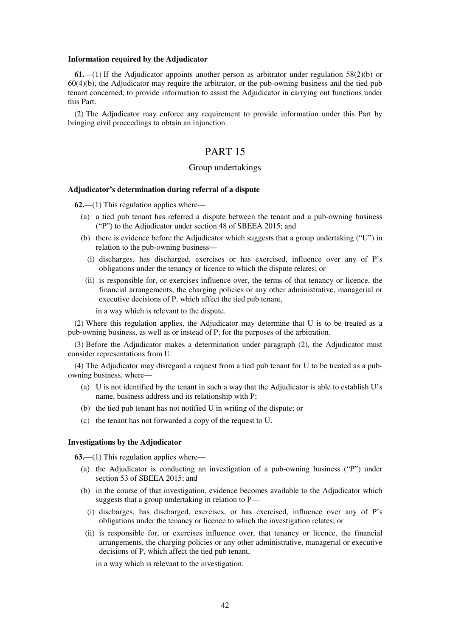#### **Information required by the Adjudicator**

**61.**—(1) If the Adjudicator appoints another person as arbitrator under regulation 58(2)(b) or 60(4)(b), the Adjudicator may require the arbitrator, or the pub-owning business and the tied pub tenant concerned, to provide information to assist the Adjudicator in carrying out functions under this Part.

(2) The Adjudicator may enforce any requirement to provide information under this Part by bringing civil proceedings to obtain an injunction.

### PART 15

### Group undertakings

### **Adjudicator's determination during referral of a dispute**

**62.**—(1) This regulation applies where—

- (a) a tied pub tenant has referred a dispute between the tenant and a pub-owning business ("P") to the Adjudicator under section 48 of SBEEA 2015; and
- (b) there is evidence before the Adjudicator which suggests that a group undertaking ("U") in relation to the pub-owning business—
	- (i) discharges, has discharged, exercises or has exercised, influence over any of P's obligations under the tenancy or licence to which the dispute relates; or
- (ii) is responsible for, or exercises influence over, the terms of that tenancy or licence, the financial arrangements, the charging policies or any other administrative, managerial or executive decisions of P, which affect the tied pub tenant,

in a way which is relevant to the dispute.

(2) Where this regulation applies, the Adjudicator may determine that U is to be treated as a pub-owning business, as well as or instead of P, for the purposes of the arbitration.

(3) Before the Adjudicator makes a determination under paragraph (2), the Adjudicator must consider representations from U.

(4) The Adjudicator may disregard a request from a tied pub tenant for U to be treated as a pubowning business, where—

- (a) U is not identified by the tenant in such a way that the Adjudicator is able to establish U's name, business address and its relationship with P;
- (b) the tied pub tenant has not notified U in writing of the dispute; or
- (c) the tenant has not forwarded a copy of the request to U.

### **Investigations by the Adjudicator**

**63.**—(1) This regulation applies where—

- (a) the Adjudicator is conducting an investigation of a pub-owning business ("P") under section 53 of SBEEA 2015; and
- (b) in the course of that investigation, evidence becomes available to the Adjudicator which suggests that a group undertaking in relation to P—
	- (i) discharges, has discharged, exercises, or has exercised, influence over any of P's obligations under the tenancy or licence to which the investigation relates; or
- (ii) is responsible for, or exercises influence over, that tenancy or licence, the financial arrangements, the charging policies or any other administrative, managerial or executive decisions of P, which affect the tied pub tenant,

in a way which is relevant to the investigation.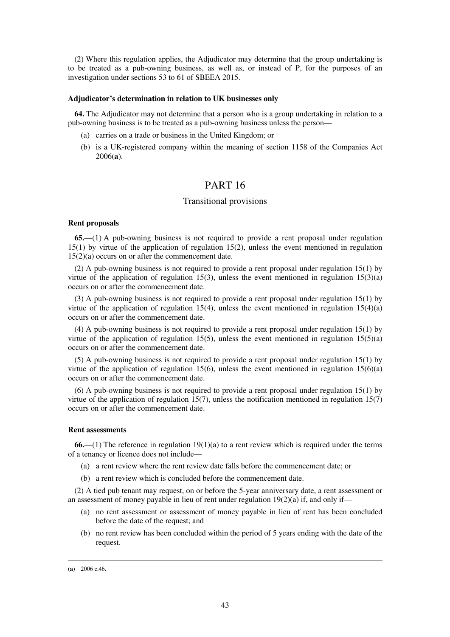(2) Where this regulation applies, the Adjudicator may determine that the group undertaking is to be treated as a pub-owning business, as well as, or instead of P, for the purposes of an investigation under sections 53 to 61 of SBEEA 2015.

#### **Adjudicator's determination in relation to UK businesses only**

**64.** The Adjudicator may not determine that a person who is a group undertaking in relation to a pub-owning business is to be treated as a pub-owning business unless the person—

- (a) carries on a trade or business in the United Kingdom; or
- (b) is a UK-registered company within the meaning of section 1158 of the Companies Act 2006(**a**).

### PART 16

### Transitional provisions

#### **Rent proposals**

**65.**—(1) A pub-owning business is not required to provide a rent proposal under regulation 15(1) by virtue of the application of regulation 15(2), unless the event mentioned in regulation 15(2)(a) occurs on or after the commencement date.

(2) A pub-owning business is not required to provide a rent proposal under regulation 15(1) by virtue of the application of regulation 15(3), unless the event mentioned in regulation 15(3)(a) occurs on or after the commencement date.

(3) A pub-owning business is not required to provide a rent proposal under regulation 15(1) by virtue of the application of regulation 15(4), unless the event mentioned in regulation  $15(4)(a)$ occurs on or after the commencement date.

(4) A pub-owning business is not required to provide a rent proposal under regulation 15(1) by virtue of the application of regulation 15(5), unless the event mentioned in regulation  $15(5)(a)$ occurs on or after the commencement date.

(5) A pub-owning business is not required to provide a rent proposal under regulation 15(1) by virtue of the application of regulation 15(6), unless the event mentioned in regulation 15(6)(a) occurs on or after the commencement date.

(6) A pub-owning business is not required to provide a rent proposal under regulation 15(1) by virtue of the application of regulation 15(7), unless the notification mentioned in regulation 15(7) occurs on or after the commencement date.

### **Rent assessments**

**66.**—(1) The reference in regulation 19(1)(a) to a rent review which is required under the terms of a tenancy or licence does not include—

- (a) a rent review where the rent review date falls before the commencement date; or
- (b) a rent review which is concluded before the commencement date.

(2) A tied pub tenant may request, on or before the 5-year anniversary date, a rent assessment or an assessment of money payable in lieu of rent under regulation  $19(2)(a)$  if, and only if—

- (a) no rent assessment or assessment of money payable in lieu of rent has been concluded before the date of the request; and
- (b) no rent review has been concluded within the period of 5 years ending with the date of the request.

<u>.</u>

<sup>(</sup>**a**) 2006 c.46.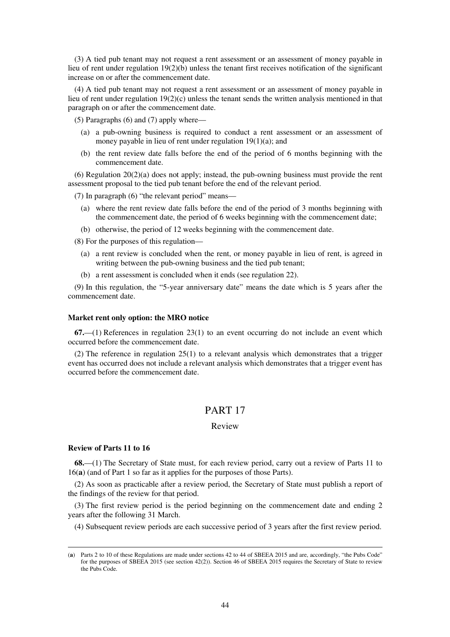(3) A tied pub tenant may not request a rent assessment or an assessment of money payable in lieu of rent under regulation 19(2)(b) unless the tenant first receives notification of the significant increase on or after the commencement date.

(4) A tied pub tenant may not request a rent assessment or an assessment of money payable in lieu of rent under regulation 19(2)(c) unless the tenant sends the written analysis mentioned in that paragraph on or after the commencement date.

(5) Paragraphs (6) and (7) apply where—

- (a) a pub-owning business is required to conduct a rent assessment or an assessment of money payable in lieu of rent under regulation 19(1)(a); and
- (b) the rent review date falls before the end of the period of 6 months beginning with the commencement date.

(6) Regulation 20(2)(a) does not apply; instead, the pub-owning business must provide the rent assessment proposal to the tied pub tenant before the end of the relevant period.

(7) In paragraph (6) "the relevant period" means—

- (a) where the rent review date falls before the end of the period of 3 months beginning with the commencement date, the period of 6 weeks beginning with the commencement date;
- (b) otherwise, the period of 12 weeks beginning with the commencement date.

(8) For the purposes of this regulation—

- (a) a rent review is concluded when the rent, or money payable in lieu of rent, is agreed in writing between the pub-owning business and the tied pub tenant;
- (b) a rent assessment is concluded when it ends (see regulation 22).

(9) In this regulation, the "5-year anniversary date" means the date which is 5 years after the commencement date.

#### **Market rent only option: the MRO notice**

**67.**—(1) References in regulation 23(1) to an event occurring do not include an event which occurred before the commencement date.

(2) The reference in regulation 25(1) to a relevant analysis which demonstrates that a trigger event has occurred does not include a relevant analysis which demonstrates that a trigger event has occurred before the commencement date.

# PART 17

### Review

#### **Review of Parts 11 to 16**

<u>.</u>

**68.**—(1) The Secretary of State must, for each review period, carry out a review of Parts 11 to 16(**a**) (and of Part 1 so far as it applies for the purposes of those Parts).

(2) As soon as practicable after a review period, the Secretary of State must publish a report of the findings of the review for that period.

(3) The first review period is the period beginning on the commencement date and ending 2 years after the following 31 March.

(4) Subsequent review periods are each successive period of 3 years after the first review period.

<sup>(</sup>**a**) Parts 2 to 10 of these Regulations are made under sections 42 to 44 of SBEEA 2015 and are, accordingly, "the Pubs Code" for the purposes of SBEEA 2015 (see section 42(2)). Section 46 of SBEEA 2015 requires the Secretary of State to review the Pubs Code.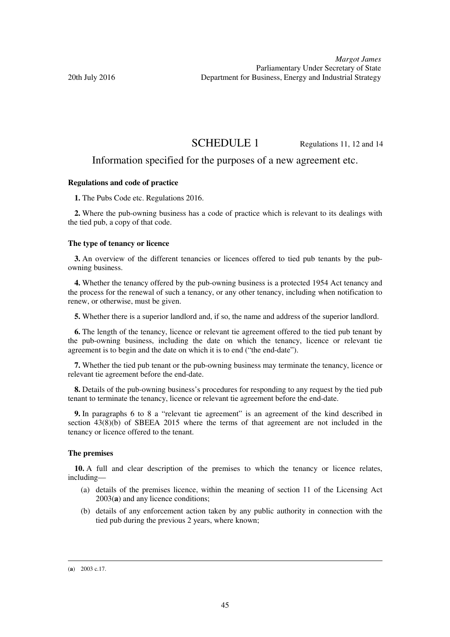SCHEDULE 1 Regulations 11, 12 and 14

### Information specified for the purposes of a new agreement etc.

### **Regulations and code of practice**

**1.** The Pubs Code etc. Regulations 2016.

**2.** Where the pub-owning business has a code of practice which is relevant to its dealings with the tied pub, a copy of that code.

### **The type of tenancy or licence**

**3.** An overview of the different tenancies or licences offered to tied pub tenants by the pubowning business.

**4.** Whether the tenancy offered by the pub-owning business is a protected 1954 Act tenancy and the process for the renewal of such a tenancy, or any other tenancy, including when notification to renew, or otherwise, must be given.

**5.** Whether there is a superior landlord and, if so, the name and address of the superior landlord.

**6.** The length of the tenancy, licence or relevant tie agreement offered to the tied pub tenant by the pub-owning business, including the date on which the tenancy, licence or relevant tie agreement is to begin and the date on which it is to end ("the end-date").

**7.** Whether the tied pub tenant or the pub-owning business may terminate the tenancy, licence or relevant tie agreement before the end-date.

**8.** Details of the pub-owning business's procedures for responding to any request by the tied pub tenant to terminate the tenancy, licence or relevant tie agreement before the end-date.

**9.** In paragraphs 6 to 8 a "relevant tie agreement" is an agreement of the kind described in section 43(8)(b) of SBEEA 2015 where the terms of that agreement are not included in the tenancy or licence offered to the tenant.

#### **The premises**

**10.** A full and clear description of the premises to which the tenancy or licence relates, including—

- (a) details of the premises licence, within the meaning of section 11 of the Licensing Act 2003(**a**) and any licence conditions;
- (b) details of any enforcement action taken by any public authority in connection with the tied pub during the previous 2 years, where known;

<u>.</u>

<sup>(</sup>**a**) 2003 c.17.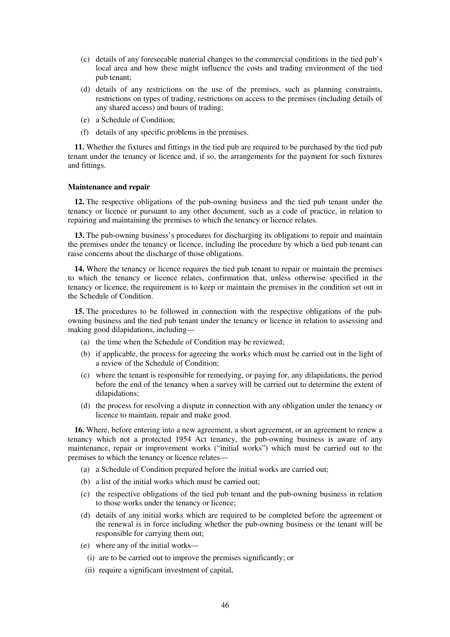- (c) details of any foreseeable material changes to the commercial conditions in the tied pub's local area and how these might influence the costs and trading environment of the tied pub tenant;
- (d) details of any restrictions on the use of the premises, such as planning constraints, restrictions on types of trading, restrictions on access to the premises (including details of any shared access) and hours of trading;
- (e) a Schedule of Condition;
- (f) details of any specific problems in the premises.

**11.** Whether the fixtures and fittings in the tied pub are required to be purchased by the tied pub tenant under the tenancy or licence and, if so, the arrangements for the payment for such fixtures and fittings.

#### **Maintenance and repair**

**12.** The respective obligations of the pub-owning business and the tied pub tenant under the tenancy or licence or pursuant to any other document, such as a code of practice, in relation to repairing and maintaining the premises to which the tenancy or licence relates.

**13.** The pub-owning business's procedures for discharging its obligations to repair and maintain the premises under the tenancy or licence, including the procedure by which a tied pub tenant can raise concerns about the discharge of those obligations.

**14.** Where the tenancy or licence requires the tied pub tenant to repair or maintain the premises to which the tenancy or licence relates, confirmation that, unless otherwise specified in the tenancy or licence, the requirement is to keep or maintain the premises in the condition set out in the Schedule of Condition.

**15.** The procedures to be followed in connection with the respective obligations of the pubowning business and the tied pub tenant under the tenancy or licence in relation to assessing and making good dilapidations, including—

- (a) the time when the Schedule of Condition may be reviewed;
- (b) if applicable, the process for agreeing the works which must be carried out in the light of a review of the Schedule of Condition;
- (c) where the tenant is responsible for remedying, or paying for, any dilapidations, the period before the end of the tenancy when a survey will be carried out to determine the extent of dilapidations;
- (d) the process for resolving a dispute in connection with any obligation under the tenancy or licence to maintain, repair and make good.

**16.** Where, before entering into a new agreement, a short agreement, or an agreement to renew a tenancy which not a protected 1954 Act tenancy, the pub-owning business is aware of any maintenance, repair or improvement works ("initial works") which must be carried out to the premises to which the tenancy or licence relates—

- (a) a Schedule of Condition prepared before the initial works are carried out;
- (b) a list of the initial works which must be carried out;
- (c) the respective obligations of the tied pub tenant and the pub-owning business in relation to those works under the tenancy or licence;
- (d) details of any initial works which are required to be completed before the agreement or the renewal is in force including whether the pub-owning business or the tenant will be responsible for carrying them out;
- (e) where any of the initial works—
	- (i) are to be carried out to improve the premises significantly; or
- (ii) require a significant investment of capital,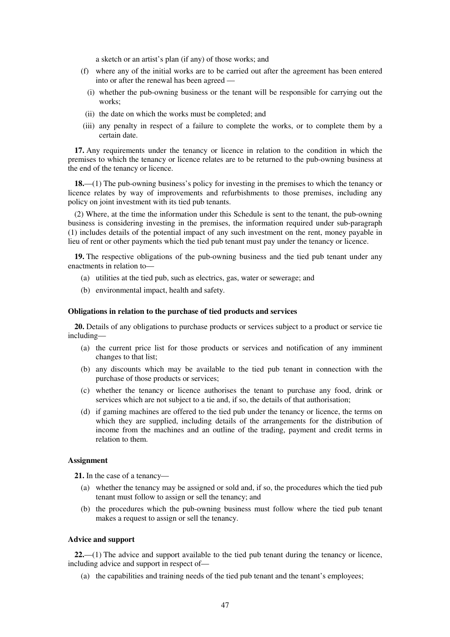a sketch or an artist's plan (if any) of those works; and

- (f) where any of the initial works are to be carried out after the agreement has been entered into or after the renewal has been agreed —
	- (i) whether the pub-owning business or the tenant will be responsible for carrying out the works;
- (ii) the date on which the works must be completed; and
- (iii) any penalty in respect of a failure to complete the works, or to complete them by a certain date.

**17.** Any requirements under the tenancy or licence in relation to the condition in which the premises to which the tenancy or licence relates are to be returned to the pub-owning business at the end of the tenancy or licence.

**18.**—(1) The pub-owning business's policy for investing in the premises to which the tenancy or licence relates by way of improvements and refurbishments to those premises, including any policy on joint investment with its tied pub tenants.

(2) Where, at the time the information under this Schedule is sent to the tenant, the pub-owning business is considering investing in the premises, the information required under sub-paragraph (1) includes details of the potential impact of any such investment on the rent, money payable in lieu of rent or other payments which the tied pub tenant must pay under the tenancy or licence.

**19.** The respective obligations of the pub-owning business and the tied pub tenant under any enactments in relation to—

- (a) utilities at the tied pub, such as electrics, gas, water or sewerage; and
- (b) environmental impact, health and safety.

### **Obligations in relation to the purchase of tied products and services**

**20.** Details of any obligations to purchase products or services subject to a product or service tie including—

- (a) the current price list for those products or services and notification of any imminent changes to that list;
- (b) any discounts which may be available to the tied pub tenant in connection with the purchase of those products or services;
- (c) whether the tenancy or licence authorises the tenant to purchase any food, drink or services which are not subject to a tie and, if so, the details of that authorisation;
- (d) if gaming machines are offered to the tied pub under the tenancy or licence, the terms on which they are supplied, including details of the arrangements for the distribution of income from the machines and an outline of the trading, payment and credit terms in relation to them.

### **Assignment**

**21.** In the case of a tenancy—

- (a) whether the tenancy may be assigned or sold and, if so, the procedures which the tied pub tenant must follow to assign or sell the tenancy; and
- (b) the procedures which the pub-owning business must follow where the tied pub tenant makes a request to assign or sell the tenancy.

### **Advice and support**

**22.**—(1) The advice and support available to the tied pub tenant during the tenancy or licence, including advice and support in respect of—

(a) the capabilities and training needs of the tied pub tenant and the tenant's employees;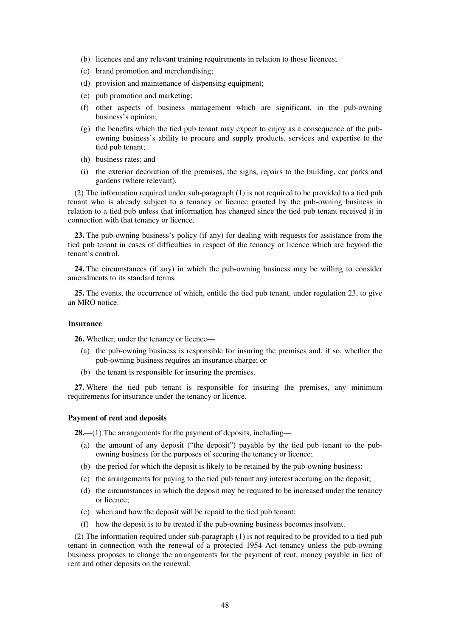- (b) licences and any relevant training requirements in relation to those licences;
- (c) brand promotion and merchandising;
- (d) provision and maintenance of dispensing equipment;
- (e) pub promotion and marketing;
- (f) other aspects of business management which are significant, in the pub-owning business's opinion;
- (g) the benefits which the tied pub tenant may expect to enjoy as a consequence of the pubowning business's ability to procure and supply products, services and expertise to the tied pub tenant;
- (h) business rates; and
- (i) the exterior decoration of the premises, the signs, repairs to the building, car parks and gardens (where relevant).

(2) The information required under sub-paragraph (1) is not required to be provided to a tied pub tenant who is already subject to a tenancy or licence granted by the pub-owning business in relation to a tied pub unless that information has changed since the tied pub tenant received it in connection with that tenancy or licence.

**23.** The pub-owning business's policy (if any) for dealing with requests for assistance from the tied pub tenant in cases of difficulties in respect of the tenancy or licence which are beyond the tenant's control.

**24.** The circumstances (if any) in which the pub-owning business may be willing to consider amendments to its standard terms.

**25.** The events, the occurrence of which, entitle the tied pub tenant, under regulation 23, to give an MRO notice.

### **Insurance**

**26.** Whether, under the tenancy or licence—

- (a) the pub-owning business is responsible for insuring the premises and, if so, whether the pub-owning business requires an insurance charge; or
- (b) the tenant is responsible for insuring the premises.

**27.** Where the tied pub tenant is responsible for insuring the premises, any minimum requirements for insurance under the tenancy or licence.

### **Payment of rent and deposits**

**28.**—(1) The arrangements for the payment of deposits, including—

- (a) the amount of any deposit ("the deposit") payable by the tied pub tenant to the pubowning business for the purposes of securing the tenancy or licence;
- (b) the period for which the deposit is likely to be retained by the pub-owning business;
- (c) the arrangements for paying to the tied pub tenant any interest accruing on the deposit;
- (d) the circumstances in which the deposit may be required to be increased under the tenancy or licence;
- (e) when and how the deposit will be repaid to the tied pub tenant;
- (f) how the deposit is to be treated if the pub-owning business becomes insolvent.

(2) The information required under sub-paragraph (1) is not required to be provided to a tied pub tenant in connection with the renewal of a protected 1954 Act tenancy unless the pub-owning business proposes to change the arrangements for the payment of rent, money payable in lieu of rent and other deposits on the renewal.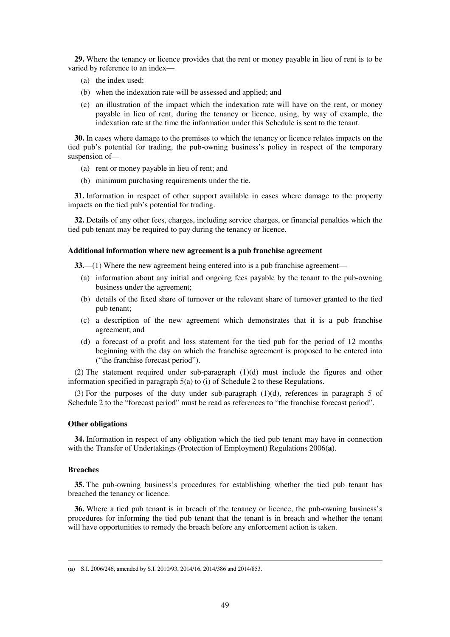**29.** Where the tenancy or licence provides that the rent or money payable in lieu of rent is to be varied by reference to an index—

- (a) the index used;
- (b) when the indexation rate will be assessed and applied; and
- (c) an illustration of the impact which the indexation rate will have on the rent, or money payable in lieu of rent, during the tenancy or licence, using, by way of example, the indexation rate at the time the information under this Schedule is sent to the tenant.

**30.** In cases where damage to the premises to which the tenancy or licence relates impacts on the tied pub's potential for trading, the pub-owning business's policy in respect of the temporary suspension of—

- (a) rent or money payable in lieu of rent; and
- (b) minimum purchasing requirements under the tie.

**31.** Information in respect of other support available in cases where damage to the property impacts on the tied pub's potential for trading.

**32.** Details of any other fees, charges, including service charges, or financial penalties which the tied pub tenant may be required to pay during the tenancy or licence.

#### **Additional information where new agreement is a pub franchise agreement**

**33.**—(1) Where the new agreement being entered into is a pub franchise agreement—

- (a) information about any initial and ongoing fees payable by the tenant to the pub-owning business under the agreement;
- (b) details of the fixed share of turnover or the relevant share of turnover granted to the tied pub tenant;
- (c) a description of the new agreement which demonstrates that it is a pub franchise agreement; and
- (d) a forecast of a profit and loss statement for the tied pub for the period of 12 months beginning with the day on which the franchise agreement is proposed to be entered into ("the franchise forecast period").

(2) The statement required under sub-paragraph (1)(d) must include the figures and other information specified in paragraph 5(a) to (i) of Schedule 2 to these Regulations.

(3) For the purposes of the duty under sub-paragraph (1)(d), references in paragraph 5 of Schedule 2 to the "forecast period" must be read as references to "the franchise forecast period".

### **Other obligations**

**34.** Information in respect of any obligation which the tied pub tenant may have in connection with the Transfer of Undertakings (Protection of Employment) Regulations 2006(**a**).

### **Breaches**

<u>.</u>

**35.** The pub-owning business's procedures for establishing whether the tied pub tenant has breached the tenancy or licence.

**36.** Where a tied pub tenant is in breach of the tenancy or licence, the pub-owning business's procedures for informing the tied pub tenant that the tenant is in breach and whether the tenant will have opportunities to remedy the breach before any enforcement action is taken.

<sup>(</sup>**a**) S.I. 2006/246, amended by S.I. 2010/93, 2014/16, 2014/386 and 2014/853.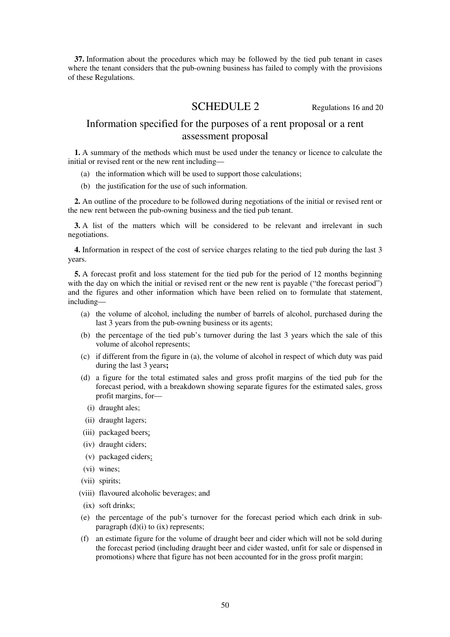**37.** Information about the procedures which may be followed by the tied pub tenant in cases where the tenant considers that the pub-owning business has failed to comply with the provisions of these Regulations.

# SCHEDULE 2 Regulations 16 and 20

# Information specified for the purposes of a rent proposal or a rent assessment proposal

**1.** A summary of the methods which must be used under the tenancy or licence to calculate the initial or revised rent or the new rent including—

- (a) the information which will be used to support those calculations;
- (b) the justification for the use of such information.

**2.** An outline of the procedure to be followed during negotiations of the initial or revised rent or the new rent between the pub-owning business and the tied pub tenant.

**3.** A list of the matters which will be considered to be relevant and irrelevant in such negotiations.

**4.** Information in respect of the cost of service charges relating to the tied pub during the last 3 years.

**5.** A forecast profit and loss statement for the tied pub for the period of 12 months beginning with the day on which the initial or revised rent or the new rent is payable ("the forecast period") and the figures and other information which have been relied on to formulate that statement, including—

- (a) the volume of alcohol, including the number of barrels of alcohol, purchased during the last 3 years from the pub-owning business or its agents;
- (b) the percentage of the tied pub's turnover during the last 3 years which the sale of this volume of alcohol represents;
- (c) if different from the figure in (a), the volume of alcohol in respect of which duty was paid during the last 3 years**;**
- (d) a figure for the total estimated sales and gross profit margins of the tied pub for the forecast period, with a breakdown showing separate figures for the estimated sales, gross profit margins, for—
	- (i) draught ales;
- (ii) draught lagers;
- (iii) packaged beers;
- (iv) draught ciders;
- (v) packaged ciders;
- (vi) wines;
- (vii) spirits;
- (viii) flavoured alcoholic beverages; and
- (ix) soft drinks;
- (e) the percentage of the pub's turnover for the forecast period which each drink in subparagraph  $(d)(i)$  to  $(ix)$  represents;
- (f) an estimate figure for the volume of draught beer and cider which will not be sold during the forecast period (including draught beer and cider wasted, unfit for sale or dispensed in promotions) where that figure has not been accounted for in the gross profit margin;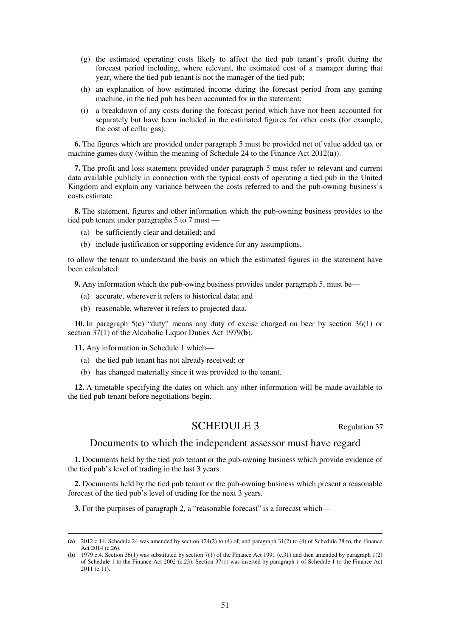- (g) the estimated operating costs likely to affect the tied pub tenant's profit during the forecast period including, where relevant, the estimated cost of a manager during that year, where the tied pub tenant is not the manager of the tied pub;
- (h) an explanation of how estimated income during the forecast period from any gaming machine, in the tied pub has been accounted for in the statement;
- (i) a breakdown of any costs during the forecast period which have not been accounted for separately but have been included in the estimated figures for other costs (for example, the cost of cellar gas).

**6.** The figures which are provided under paragraph 5 must be provided net of value added tax or machine games duty (within the meaning of Schedule 24 to the Finance Act 2012(**a**)).

**7.** The profit and loss statement provided under paragraph 5 must refer to relevant and current data available publicly in connection with the typical costs of operating a tied pub in the United Kingdom and explain any variance between the costs referred to and the pub-owning business's costs estimate.

**8.** The statement, figures and other information which the pub-owning business provides to the tied pub tenant under paragraphs 5 to 7 must —

- (a) be sufficiently clear and detailed; and
- (b) include justification or supporting evidence for any assumptions,

to allow the tenant to understand the basis on which the estimated figures in the statement have been calculated.

**9.** Any information which the pub-owing business provides under paragraph 5, must be—

- (a) accurate, wherever it refers to historical data; and
- (b) reasonable, wherever it refers to projected data.

**10.** In paragraph 5(c) "duty" means any duty of excise charged on beer by section 36(1) or section 37(1) of the Alcoholic Liquor Duties Act 1979(**b**).

**11.** Any information in Schedule 1 which—

<u>.</u>

- (a) the tied pub tenant has not already received; or
- (b) has changed materially since it was provided to the tenant.

**12.** A timetable specifying the dates on which any other information will be made available to the tied pub tenant before negotiations begin.

## SCHEDULE 3 Regulation 37

### Documents to which the independent assessor must have regard

**1.** Documents held by the tied pub tenant or the pub-owning business which provide evidence of the tied pub's level of trading in the last 3 years.

**2.** Documents held by the tied pub tenant or the pub-owning business which present a reasonable forecast of the tied pub's level of trading for the next 3 years.

**3.** For the purposes of paragraph 2, a "reasonable forecast" is a forecast which—

<sup>(</sup>**a**) 2012 c.14. Schedule 24 was amended by section 124(2) to (4) of, and paragraph 31(2) to (4) of Schedule 28 to, the Finance Act 2014 (c.26).

<sup>(</sup>**b**) 1979 c.4. Section 36(1) was substituted by section 7(1) of the Finance Act 1991 (c.31) and then amended by paragraph 1(2) of Schedule 1 to the Finance Act 2002 (c.23). Section 37(1) was inserted by paragraph 1 of Schedule 1 to the Finance Act 2011 (c.11).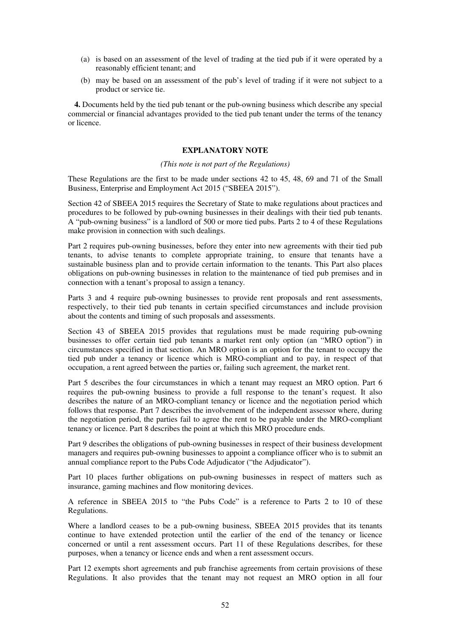- (a) is based on an assessment of the level of trading at the tied pub if it were operated by a reasonably efficient tenant; and
- (b) may be based on an assessment of the pub's level of trading if it were not subject to a product or service tie.

**4.** Documents held by the tied pub tenant or the pub-owning business which describe any special commercial or financial advantages provided to the tied pub tenant under the terms of the tenancy or licence.

### **EXPLANATORY NOTE**

### *(This note is not part of the Regulations)*

These Regulations are the first to be made under sections 42 to 45, 48, 69 and 71 of the Small Business, Enterprise and Employment Act 2015 ("SBEEA 2015").

Section 42 of SBEEA 2015 requires the Secretary of State to make regulations about practices and procedures to be followed by pub-owning businesses in their dealings with their tied pub tenants. A "pub-owning business" is a landlord of 500 or more tied pubs. Parts 2 to 4 of these Regulations make provision in connection with such dealings.

Part 2 requires pub-owning businesses, before they enter into new agreements with their tied pub tenants, to advise tenants to complete appropriate training, to ensure that tenants have a sustainable business plan and to provide certain information to the tenants. This Part also places obligations on pub-owning businesses in relation to the maintenance of tied pub premises and in connection with a tenant's proposal to assign a tenancy.

Parts 3 and 4 require pub-owning businesses to provide rent proposals and rent assessments, respectively, to their tied pub tenants in certain specified circumstances and include provision about the contents and timing of such proposals and assessments.

Section 43 of SBEEA 2015 provides that regulations must be made requiring pub-owning businesses to offer certain tied pub tenants a market rent only option (an "MRO option") in circumstances specified in that section. An MRO option is an option for the tenant to occupy the tied pub under a tenancy or licence which is MRO-compliant and to pay, in respect of that occupation, a rent agreed between the parties or, failing such agreement, the market rent.

Part 5 describes the four circumstances in which a tenant may request an MRO option. Part 6 requires the pub-owning business to provide a full response to the tenant's request. It also describes the nature of an MRO-compliant tenancy or licence and the negotiation period which follows that response. Part 7 describes the involvement of the independent assessor where, during the negotiation period, the parties fail to agree the rent to be payable under the MRO-compliant tenancy or licence. Part 8 describes the point at which this MRO procedure ends.

Part 9 describes the obligations of pub-owning businesses in respect of their business development managers and requires pub-owning businesses to appoint a compliance officer who is to submit an annual compliance report to the Pubs Code Adjudicator ("the Adjudicator").

Part 10 places further obligations on pub-owning businesses in respect of matters such as insurance, gaming machines and flow monitoring devices.

A reference in SBEEA 2015 to "the Pubs Code" is a reference to Parts 2 to 10 of these Regulations.

Where a landlord ceases to be a pub-owning business, SBEEA 2015 provides that its tenants continue to have extended protection until the earlier of the end of the tenancy or licence concerned or until a rent assessment occurs. Part 11 of these Regulations describes, for these purposes, when a tenancy or licence ends and when a rent assessment occurs.

Part 12 exempts short agreements and pub franchise agreements from certain provisions of these Regulations. It also provides that the tenant may not request an MRO option in all four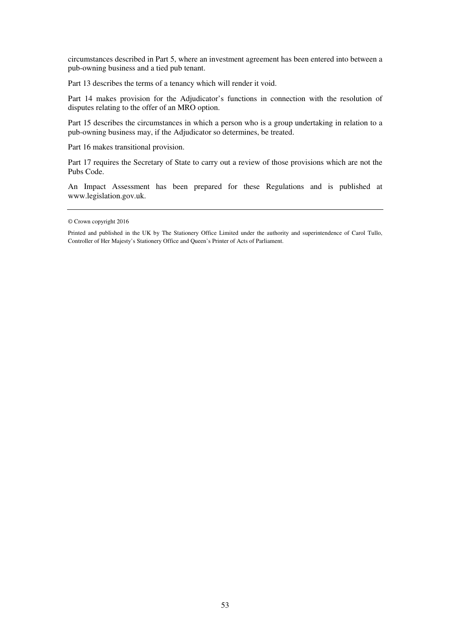circumstances described in Part 5, where an investment agreement has been entered into between a pub-owning business and a tied pub tenant.

Part 13 describes the terms of a tenancy which will render it void.

Part 14 makes provision for the Adjudicator's functions in connection with the resolution of disputes relating to the offer of an MRO option.

Part 15 describes the circumstances in which a person who is a group undertaking in relation to a pub-owning business may, if the Adjudicator so determines, be treated.

Part 16 makes transitional provision.

Part 17 requires the Secretary of State to carry out a review of those provisions which are not the Pubs Code.

An Impact Assessment has been prepared for these Regulations and is published at www.legislation.gov.uk.

Printed and published in the UK by The Stationery Office Limited under the authority and superintendence of Carol Tullo, Controller of Her Majesty's Stationery Office and Queen's Printer of Acts of Parliament.

<sup>©</sup> Crown copyright 2016